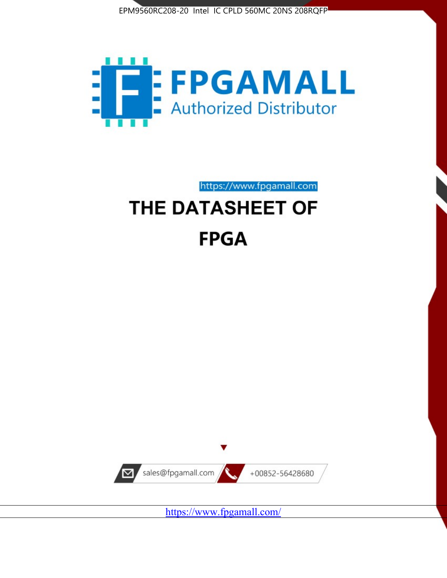



https://www.fpgamall.com

# THE DATASHEET OF **FPGA**



<https://www.fpgamall.com/>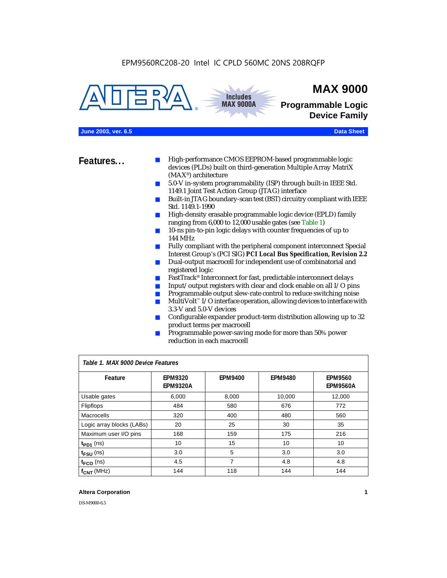



# **MAX 9000**

**Programmable Logic Device Family**

#### **June 2003, ver. 6.5 Data Sheet**

- **Features...** High-performance CMOS EEPROM-based programmable logic devices (PLDs) built on third-generation Multiple Array MatriX (MAX®) architecture
	- 5.0-V in-system programmability (ISP) through built-in IEEE Std. 1149.1 Joint Test Action Group (JTAG) interface
	- Built-in JTAG boundary-scan test (BST) circuitry compliant with IEEE Std. 1149.1-1990
	- High-density erasable programmable logic device (EPLD) family ranging from 6,000 to 12,000 usable gates (see Table 1)
	- 10-ns pin-to-pin logic delays with counter frequencies of up to 144 MHz
	- Fully compliant with the peripheral component interconnect Special Interest Group's (PCI SIG) *PCI Local Bus Specification, Revision 2.2*
	- Dual-output macrocell for independent use of combinatorial and registered logic
	- FastTrack<sup>®</sup> Interconnect for fast, predictable interconnect delays
	- $\blacksquare$  Input/output registers with clear and clock enable on all I/O pins
	- Programmable output slew-rate control to reduce switching noise
	- $Multivolt <sup>$\infty$</sup>  I/O interface operation, allowing devices to interface with$ 3.3-V and 5.0-V devices
	- Configurable expander product-term distribution allowing up to 32 product terms per macrocell
	- Programmable power-saving mode for more than 50% power reduction in each macrocell

| Table 1. MAX 9000 Device Features |                                   |                |                |                                   |  |
|-----------------------------------|-----------------------------------|----------------|----------------|-----------------------------------|--|
| Feature                           | <b>EPM9320</b><br><b>EPM9320A</b> | <b>EPM9400</b> | <b>EPM9480</b> | <b>EPM9560</b><br><b>EPM9560A</b> |  |
| Usable gates                      | 6,000                             | 8,000          | 10,000         | 12,000                            |  |
| <b>Flipflops</b>                  | 484                               | 580            | 676            | 772                               |  |
| Macrocells                        | 320                               | 400            | 480            | 560                               |  |
| Logic array blocks (LABs)         | 20                                | 25             | 30             | 35                                |  |
| Maximum user I/O pins             | 168                               | 159            | 175            | 216                               |  |
| $t_{PD1}$ (ns)                    | 10                                | 15             | 10             | 10                                |  |
| $t_{\text{FSU}}$ (ns)             | 3.0                               | 5              | 3.0            | 3.0                               |  |
| $t_{FCO}$ (ns)                    | 4.5                               | 7              | 4.8            | 4.8                               |  |
| $f_{\text{CNT}}$ (MHz)            | 144                               | 118            | 144            | 144                               |  |

#### **Altera Corporation 1**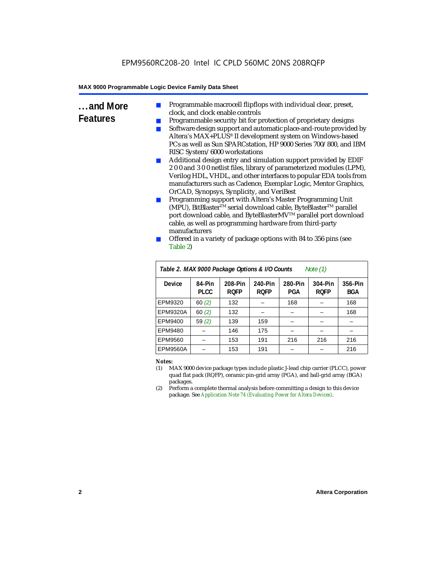- **...and More Features** Programmable macrocell flipflops with individual clear, preset, clock, and clock enable controls
	- Programmable security bit for protection of proprietary designs
	- Software design support and automatic place-and-route provided by Altera's MAX+PLUS® II development system on Windows-based PCs as well as Sun SPARCstation, HP 9000 Series 700/800, and IBM RISC System/6000 workstations
	- Additional design entry and simulation support provided by EDIF 2 0 0 and 3 0 0 netlist files, library of parameterized modules (LPM), Verilog HDL, VHDL, and other interfaces to popular EDA tools from manufacturers such as Cadence, Exemplar Logic, Mentor Graphics, OrCAD, Synopsys, Synplicity, and VeriBest
	- Programming support with Altera's Master Programming Unit (MPU), BitBlaster™ serial download cable, ByteBlaster™ parallel port download cable, and ByteBlasterMV™ parallel port download cable, as well as programming hardware from third-party manufacturers
	- Offered in a variety of package options with 84 to 356 pins (see Table 2)

| Table 2. MAX 9000 Package Options & I/O Counts<br>Note $(1)$ |                |                        |                        |                |                        |                       |
|--------------------------------------------------------------|----------------|------------------------|------------------------|----------------|------------------------|-----------------------|
| Device                                                       | 84-Pin<br>PLCC | 208-Pin<br><b>ROFP</b> | 240-Pin<br><b>ROFP</b> | 280-Pin<br>PGA | 304-Pin<br><b>ROFP</b> | 356-Pin<br><b>BGA</b> |
| EPM9320                                                      | 60(2)          | 132                    |                        | 168            |                        | 168                   |
| <b>EPM9320A</b>                                              | 60(2)          | 132                    |                        |                |                        | 168                   |
| EPM9400                                                      | 59(2)          | 139                    | 159                    |                |                        |                       |
| EPM9480                                                      |                | 146                    | 175                    |                |                        |                       |
| EPM9560                                                      |                | 153                    | 191                    | 216            | 216                    | 216                   |
| <b>EPM9560A</b>                                              |                | 153                    | 191                    |                |                        | 216                   |

#### *Notes:*

- (1) MAX 9000 device package types include plastic J-lead chip carrier (PLCC), power quad flat pack (RQFP), ceramic pin-grid array (PGA), and ball-grid array (BGA) packages.
- (2) Perform a complete thermal analysis before committing a design to this device package. See *Application Note 74 (Evaluating Power for Altera Devices)*.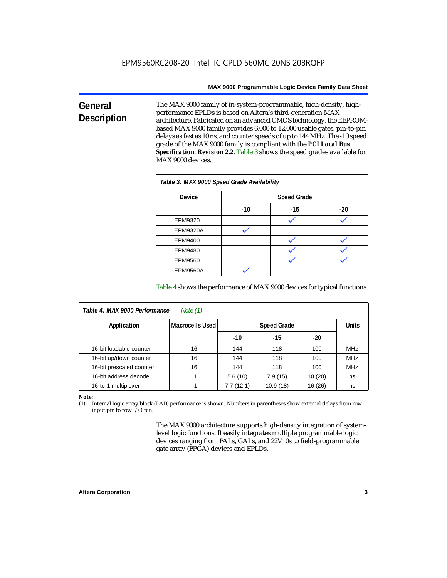#### **General Description** The MAX 9000 family of in-system-programmable, high-density, highperformance EPLDs is based on Altera's third-generation MAX architecture. Fabricated on an advanced CMOS technology, the EEPROMbased MAX 9000 family provides 6,000 to 12,000 usable gates, pin-to-pin delays as fast as 10 ns, and counter speeds of up to 144 MHz. The -10 speed grade of the MAX 9000 family is compliant with the *PCI Local Bus Specification, Revision 2.2*. Table 3 shows the speed grades available for MAX 9000 devices.

| Table 3. MAX 9000 Speed Grade Availability |       |                    |       |  |  |  |
|--------------------------------------------|-------|--------------------|-------|--|--|--|
| <b>Device</b>                              |       | <b>Speed Grade</b> |       |  |  |  |
|                                            | $-10$ | $-15$              | $-20$ |  |  |  |
| EPM9320                                    |       |                    |       |  |  |  |
| <b>EPM9320A</b>                            |       |                    |       |  |  |  |
| EPM9400                                    |       |                    |       |  |  |  |
| EPM9480                                    |       |                    |       |  |  |  |
| EPM9560                                    |       |                    |       |  |  |  |
| <b>EPM9560A</b>                            |       |                    |       |  |  |  |

Table 4 shows the performance of MAX 9000 devices for typical functions.

| Table 4. MAX 9000 Performance<br>Note $(1)$ |                 |                                    |          |         |            |  |
|---------------------------------------------|-----------------|------------------------------------|----------|---------|------------|--|
| Application                                 | Macrocells Used | <b>Units</b><br><b>Speed Grade</b> |          |         |            |  |
|                                             |                 | $-10$                              | $-15$    | $-20$   |            |  |
| 16-bit loadable counter                     | 16              | 144                                | 118      | 100     | <b>MHz</b> |  |
| 16-bit up/down counter                      | 16              | 144                                | 118      | 100     | <b>MHz</b> |  |
| 16-bit prescaled counter                    | 16              | 144                                | 118      | 100     | <b>MHz</b> |  |
| 16-bit address decode                       |                 | 5.6(10)                            | 7.9(15)  | 10(20)  | ns         |  |
| 16-to-1 multiplexer                         |                 | 7.7(12.1)                          | 10.9(18) | 16 (26) | ns         |  |

*Note:*

(1) Internal logic array block (LAB) performance is shown. Numbers in parentheses show external delays from row input pin to row I/O pin.

> The MAX 9000 architecture supports high-density integration of systemlevel logic functions. It easily integrates multiple programmable logic devices ranging from PALs, GALs, and 22V10s to field-programmable gate array (FPGA) devices and EPLDs.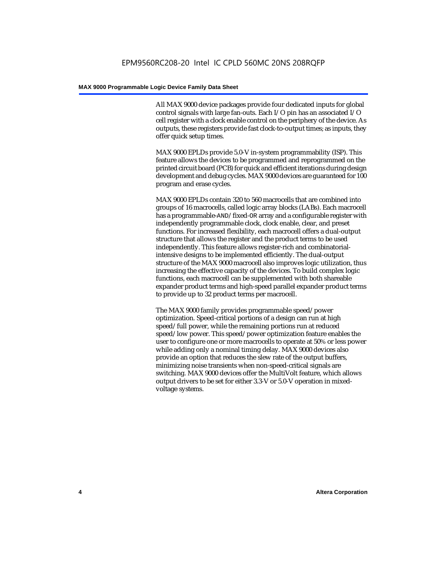All MAX 9000 device packages provide four dedicated inputs for global control signals with large fan-outs. Each I/O pin has an associated I/O cell register with a clock enable control on the periphery of the device. As outputs, these registers provide fast clock-to-output times; as inputs, they offer quick setup times.

MAX 9000 EPLDs provide 5.0-V in-system programmability (ISP). This feature allows the devices to be programmed and reprogrammed on the printed circuit board (PCB) for quick and efficient iterations during design development and debug cycles. MAX 9000 devices are guaranteed for 100 program and erase cycles.

MAX 9000 EPLDs contain 320 to 560 macrocells that are combined into groups of 16 macrocells, called logic array blocks (LABs). Each macrocell has a programmable-AND/fixed-OR array and a configurable register with independently programmable clock, clock enable, clear, and preset functions. For increased flexibility, each macrocell offers a dual-output structure that allows the register and the product terms to be used independently. This feature allows register-rich and combinatorialintensive designs to be implemented efficiently. The dual-output structure of the MAX 9000 macrocell also improves logic utilization, thus increasing the effective capacity of the devices. To build complex logic functions, each macrocell can be supplemented with both shareable expander product terms and high-speed parallel expander product terms to provide up to 32 product terms per macrocell.

The MAX 9000 family provides programmable speed/power optimization. Speed-critical portions of a design can run at high speed/full power, while the remaining portions run at reduced speed/low power. This speed/power optimization feature enables the user to configure one or more macrocells to operate at 50% or less power while adding only a nominal timing delay. MAX 9000 devices also provide an option that reduces the slew rate of the output buffers, minimizing noise transients when non-speed-critical signals are switching. MAX 9000 devices offer the MultiVolt feature, which allows output drivers to be set for either 3.3-V or 5.0-V operation in mixedvoltage systems.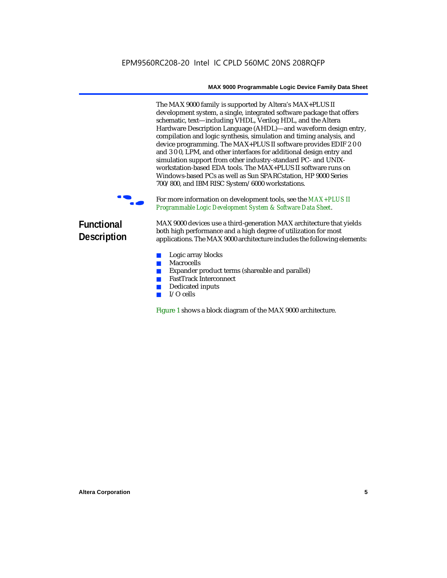The MAX 9000 family is supported by Altera's MAX+PLUS II development system, a single, integrated software package that offers schematic, text—including VHDL, Verilog HDL, and the Altera Hardware Description Language (AHDL)—and waveform design entry, compilation and logic synthesis, simulation and timing analysis, and device programming. The MAX+PLUS II software provides EDIF 2 0 0 and 3 0 0, LPM, and other interfaces for additional design entry and simulation support from other industry-standard PC- and UNIXworkstation-based EDA tools. The MAX+PLUS II software runs on Windows-based PCs as well as Sun SPARCstation, HP 9000 Series 700/800, and IBM RISC System/6000 workstations.

For more information on development tools, see the  $MAX+PLUS$  II *Programmable Logic Development System & Software Data Sheet*.

# **Functional Description**

MAX 9000 devices use a third-generation MAX architecture that yields both high performance and a high degree of utilization for most applications. The MAX 9000 architecture includes the following elements:

- Logic array blocks
- Macrocells
- Expander product terms (shareable and parallel)
- FastTrack Interconnect
- Dedicated inputs
- I/O cells

Figure 1 shows a block diagram of the MAX 9000 architecture.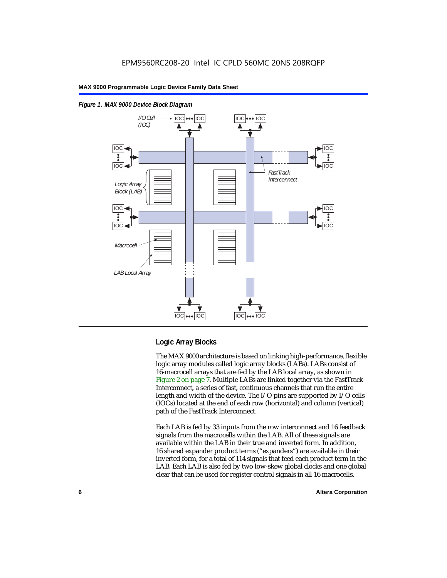

# IOC IOC IOC IOC |IOC|•••|IOC| |IOC|•••|IOC *Macrocell LAB Local Array*

#### *Figure 1. MAX 9000 Device Block Diagram*

## **Logic Array Blocks**

The MAX 9000 architecture is based on linking high-performance, flexible logic array modules called logic array blocks (LABs). LABs consist of 16-macrocell arrays that are fed by the LAB local array, as shown in Figure 2 on page 7. Multiple LABs are linked together via the FastTrack Interconnect, a series of fast, continuous channels that run the entire length and width of the device. The I/O pins are supported by I/O cells (IOCs) located at the end of each row (horizontal) and column (vertical) path of the FastTrack Interconnect.

Each LAB is fed by 33 inputs from the row interconnect and 16 feedback signals from the macrocells within the LAB. All of these signals are available within the LAB in their true and inverted form. In addition, 16 shared expander product terms ("expanders") are available in their inverted form, for a total of 114 signals that feed each product term in the LAB. Each LAB is also fed by two low-skew global clocks and one global clear that can be used for register control signals in all 16 macrocells.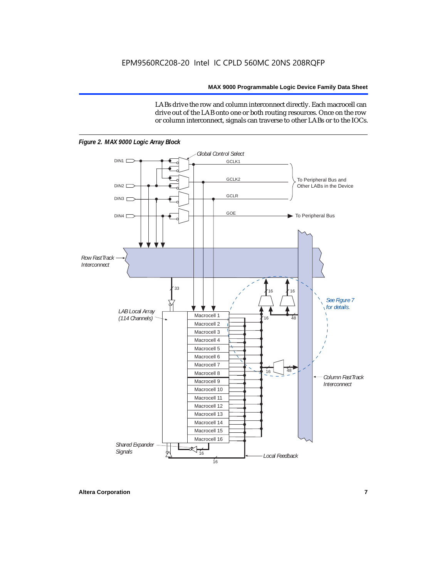LABs drive the row and column interconnect directly. Each macrocell can drive out of the LAB onto one or both routing resources. Once on the row or column interconnect, signals can traverse to other LABs or to the IOCs.



*Figure 2. MAX 9000 Logic Array Block*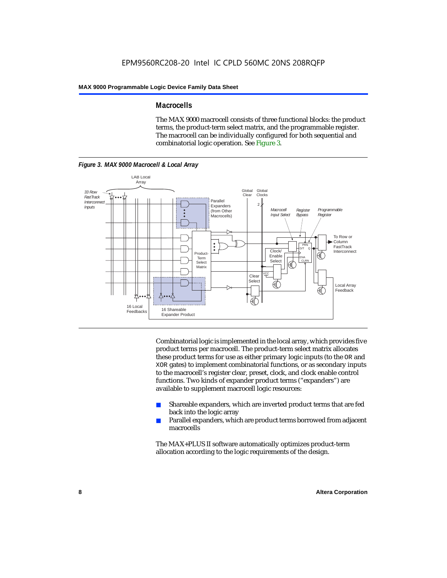#### **Macrocells**

The MAX 9000 macrocell consists of three functional blocks: the product terms, the product-term select matrix, and the programmable register. The macrocell can be individually configured for both sequential and combinatorial logic operation. See Figure 3.



Combinatorial logic is implemented in the local array, which provides five product terms per macrocell. The product-term select matrix allocates these product terms for use as either primary logic inputs (to the OR and XOR gates) to implement combinatorial functions, or as secondary inputs to the macrocell's register clear, preset, clock, and clock enable control functions. Two kinds of expander product terms ("expanders") are available to supplement macrocell logic resources:

- Shareable expanders, which are inverted product terms that are fed back into the logic array
- Parallel expanders, which are product terms borrowed from adjacent macrocells

The MAX+PLUS II software automatically optimizes product-term allocation according to the logic requirements of the design.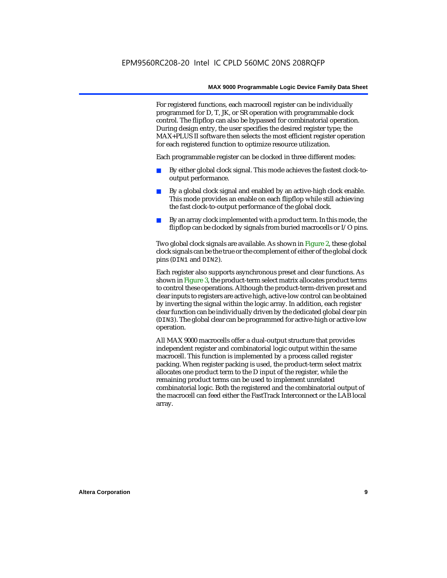For registered functions, each macrocell register can be individually programmed for D, T, JK, or SR operation with programmable clock control. The flipflop can also be bypassed for combinatorial operation. During design entry, the user specifies the desired register type; the MAX+PLUS II software then selects the most efficient register operation for each registered function to optimize resource utilization.

Each programmable register can be clocked in three different modes:

- By either global clock signal. This mode achieves the fastest clock-tooutput performance.
- By a global clock signal and enabled by an active-high clock enable. This mode provides an enable on each flipflop while still achieving the fast clock-to-output performance of the global clock.
- By an array clock implemented with a product term. In this mode, the flipflop can be clocked by signals from buried macrocells or I/O pins.

Two global clock signals are available. As shown in Figure 2, these global clock signals can be the true or the complement of either of the global clock pins (DIN1 and DIN2).

Each register also supports asynchronous preset and clear functions. As shown in Figure 3, the product-term select matrix allocates product terms to control these operations. Although the product-term-driven preset and clear inputs to registers are active high, active-low control can be obtained by inverting the signal within the logic array. In addition, each register clear function can be individually driven by the dedicated global clear pin (DIN3). The global clear can be programmed for active-high or active-low operation.

All MAX 9000 macrocells offer a dual-output structure that provides independent register and combinatorial logic output within the same macrocell. This function is implemented by a process called register packing. When register packing is used, the product-term select matrix allocates one product term to the D input of the register, while the remaining product terms can be used to implement unrelated combinatorial logic. Both the registered and the combinatorial output of the macrocell can feed either the FastTrack Interconnect or the LAB local array.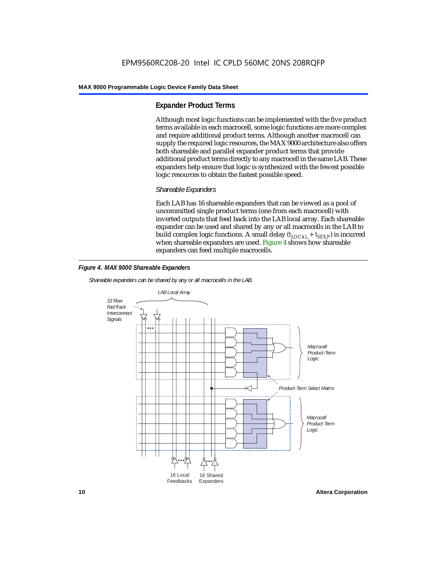#### **Expander Product Terms**

Although most logic functions can be implemented with the five product terms available in each macrocell, some logic functions are more complex and require additional product terms. Although another macrocell can supply the required logic resources, the MAX 9000 architecture also offers both shareable and parallel expander product terms that provide additional product terms directly to any macrocell in the same LAB. These expanders help ensure that logic is synthesized with the fewest possible logic resources to obtain the fastest possible speed.

#### *Shareable Expanders*

Each LAB has 16 shareable expanders that can be viewed as a pool of uncommitted single product terms (one from each macrocell) with inverted outputs that feed back into the LAB local array. Each shareable expander can be used and shared by any or all macrocells in the LAB to build complex logic functions. A small delay ( $t_{LOCAL} + t_{SEXP}$ ) is incurred when shareable expanders are used. Figure 4 shows how shareable expanders can feed multiple macrocells.



*Shareable expanders can be shared by any or all macrocells in the LAB.*



**10 Altera Corporation**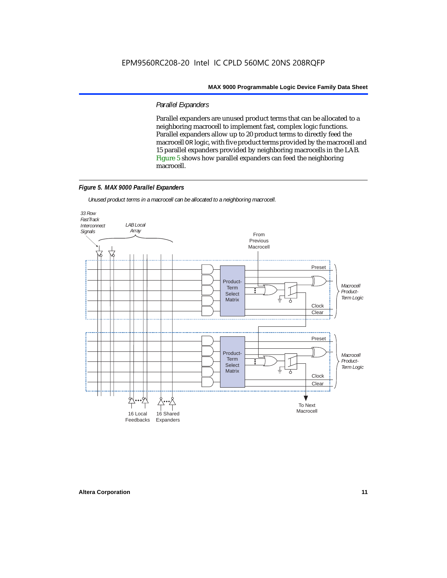#### *Parallel Expanders*

Parallel expanders are unused product terms that can be allocated to a neighboring macrocell to implement fast, complex logic functions. Parallel expanders allow up to 20 product terms to directly feed the macrocell OR logic, with five product terms provided by the macrocell and 15 parallel expanders provided by neighboring macrocells in the LAB. Figure 5 shows how parallel expanders can feed the neighboring macrocell.

#### *Figure 5. MAX 9000 Parallel Expanders*

*Unused product terms in a macrocell can be allocated to a neighboring macrocell.*

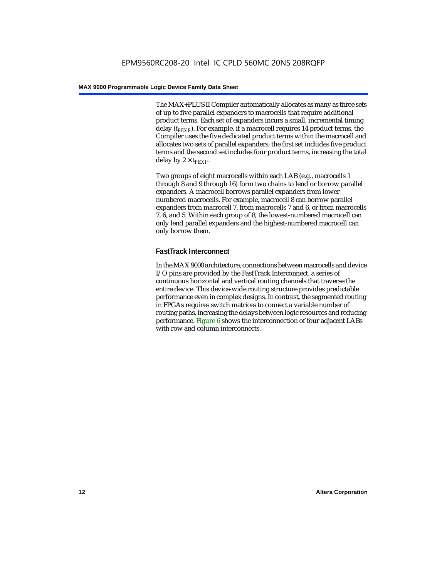The MAX+PLUS II Compiler automatically allocates as many as three sets of up to five parallel expanders to macrocells that require additional product terms. Each set of expanders incurs a small, incremental timing delay (*t<sub>PEXP</sub>*). For example, if a macrocell requires 14 product terms, the Compiler uses the five dedicated product terms within the macrocell and allocates two sets of parallel expanders; the first set includes five product terms and the second set includes four product terms, increasing the total delay by  $2 \times t_{PFXP}$ .

Two groups of eight macrocells within each LAB (e.g., macrocells 1 through 8 and 9 through 16) form two chains to lend or borrow parallel expanders. A macrocell borrows parallel expanders from lowernumbered macrocells. For example, macrocell 8 can borrow parallel expanders from macrocell 7, from macrocells 7 and 6, or from macrocells 7, 6, and 5. Within each group of 8, the lowest-numbered macrocell can only lend parallel expanders and the highest-numbered macrocell can only borrow them.

#### **FastTrack Interconnect**

In the MAX 9000 architecture, connections between macrocells and device I/O pins are provided by the FastTrack Interconnect, a series of continuous horizontal and vertical routing channels that traverse the entire device. This device-wide routing structure provides predictable performance even in complex designs. In contrast, the segmented routing in FPGAs requires switch matrices to connect a variable number of routing paths, increasing the delays between logic resources and reducing performance. Figure 6 shows the interconnection of four adjacent LABs with row and column interconnects.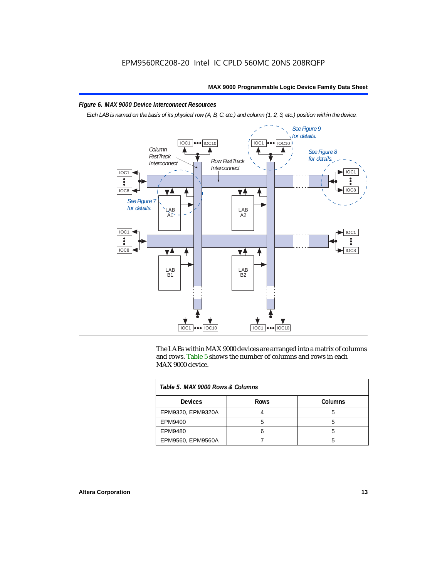#### *Figure 6. MAX 9000 Device Interconnect Resources*

*Each LAB is named on the basis of its physical row (A, B, C, etc.) and column (1, 2, 3, etc.) position within the device.*



The LABs within MAX 9000 devices are arranged into a matrix of columns and rows. Table 5 shows the number of columns and rows in each MAX 9000 device.

| Table 5, MAX 9000 Rows & Columns |             |         |  |  |
|----------------------------------|-------------|---------|--|--|
| <b>Devices</b>                   | <b>Rows</b> | Columns |  |  |
| EPM9320, EPM9320A                |             |         |  |  |
| EPM9400                          |             |         |  |  |
| EPM9480                          |             |         |  |  |
| EPM9560, EPM9560A                |             |         |  |  |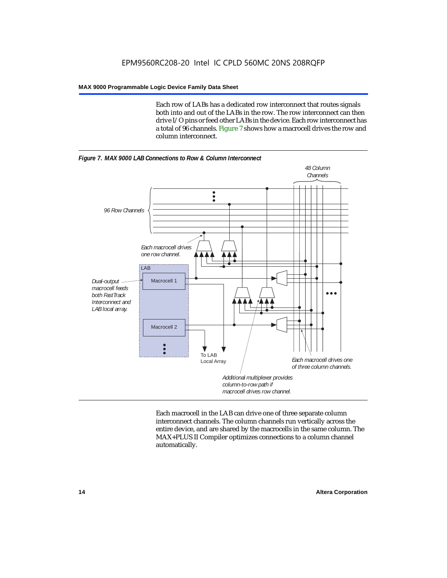Each row of LABs has a dedicated row interconnect that routes signals both into and out of the LABs in the row. The row interconnect can then drive I/O pins or feed other LABs in the device. Each row interconnect has a total of 96 channels. Figure 7 shows how a macrocell drives the row and column interconnect.





Each macrocell in the LAB can drive one of three separate column interconnect channels. The column channels run vertically across the entire device, and are shared by the macrocells in the same column. The MAX+PLUS II Compiler optimizes connections to a column channel automatically.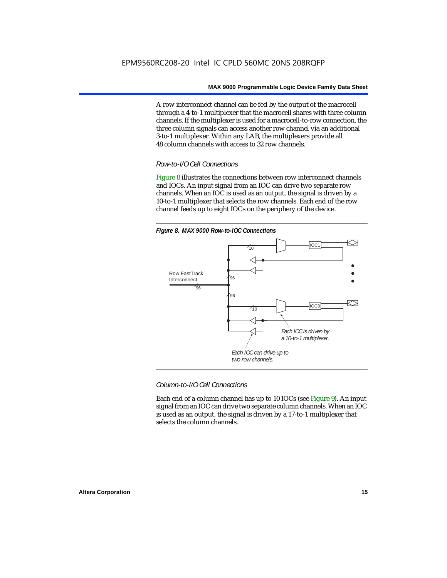A row interconnect channel can be fed by the output of the macrocell through a 4-to-1 multiplexer that the macrocell shares with three column channels. If the multiplexer is used for a macrocell-to-row connection, the three column signals can access another row channel via an additional 3-to-1 multiplexer. Within any LAB, the multiplexers provide all 48 column channels with access to 32 row channels.

#### *Row-to-I/O Cell Connections*

Figure 8 illustrates the connections between row interconnect channels and IOCs. An input signal from an IOC can drive two separate row channels. When an IOC is used as an output, the signal is driven by a 10-to-1 multiplexer that selects the row channels. Each end of the row channel feeds up to eight IOCs on the periphery of the device.



*Column-to-I/O Cell Connections*

Each end of a column channel has up to 10 IOCs (see Figure 9). An input signal from an IOC can drive two separate column channels. When an IOC is used as an output, the signal is driven by a 17-to-1 multiplexer that selects the column channels.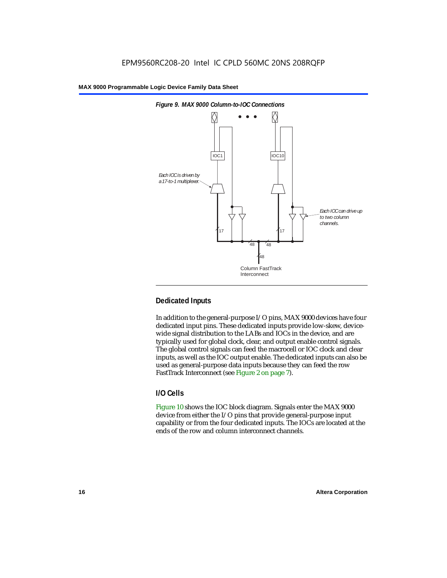

## **Dedicated Inputs**

In addition to the general-purpose I/O pins, MAX 9000 devices have four dedicated input pins. These dedicated inputs provide low-skew, devicewide signal distribution to the LABs and IOCs in the device, and are typically used for global clock, clear, and output enable control signals. The global control signals can feed the macrocell or IOC clock and clear inputs, as well as the IOC output enable. The dedicated inputs can also be used as general-purpose data inputs because they can feed the row FastTrack Interconnect (see Figure 2 on page 7).

#### **I/O Cells**

Figure 10 shows the IOC block diagram. Signals enter the MAX 9000 device from either the I/O pins that provide general-purpose input capability or from the four dedicated inputs. The IOCs are located at the ends of the row and column interconnect channels.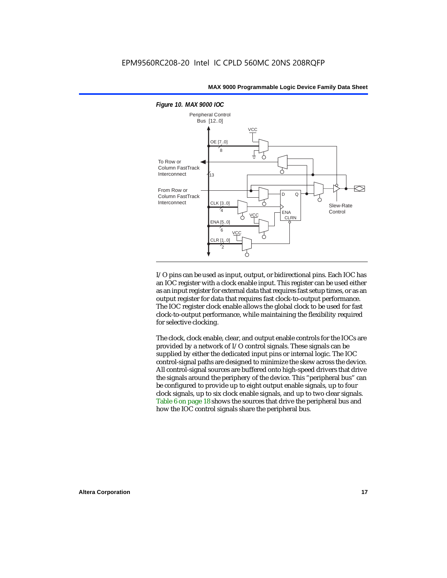

I/O pins can be used as input, output, or bidirectional pins. Each IOC has an IOC register with a clock enable input. This register can be used either as an input register for external data that requires fast setup times, or as an output register for data that requires fast clock-to-output performance. The IOC register clock enable allows the global clock to be used for fast clock-to-output performance, while maintaining the flexibility required for selective clocking.

The clock, clock enable, clear, and output enable controls for the IOCs are provided by a network of I/O control signals. These signals can be supplied by either the dedicated input pins or internal logic. The IOC control-signal paths are designed to minimize the skew across the device. All control-signal sources are buffered onto high-speed drivers that drive the signals around the periphery of the device. This "peripheral bus" can be configured to provide up to eight output enable signals, up to four clock signals, up to six clock enable signals, and up to two clear signals. Table 6 on page 18 shows the sources that drive the peripheral bus and how the IOC control signals share the peripheral bus.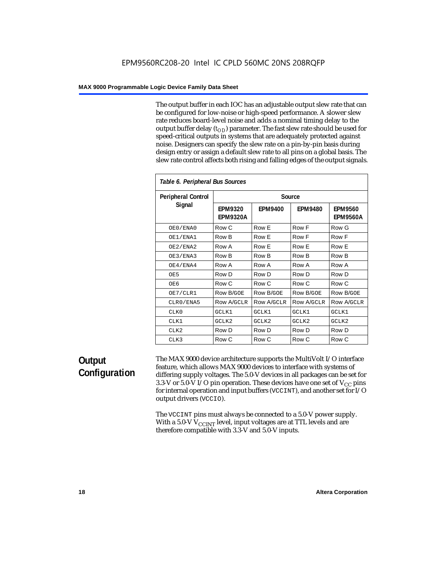The output buffer in each IOC has an adjustable output slew rate that can be configured for low-noise or high-speed performance. A slower slew rate reduces board-level noise and adds a nominal timing delay to the output buffer delay  $(t_{OD})$  parameter. The fast slew rate should be used for speed-critical outputs in systems that are adequately protected against noise. Designers can specify the slew rate on a pin-by-pin basis during design entry or assign a default slew rate to all pins on a global basis. The slew rate control affects both rising and falling edges of the output signals.

| Table 6. Peripheral Bus Sources |                                   |                |                |                                   |
|---------------------------------|-----------------------------------|----------------|----------------|-----------------------------------|
| <b>Peripheral Control</b>       |                                   |                | Source         |                                   |
| Signal                          | <b>EPM9320</b><br><b>EPM9320A</b> | <b>EPM9400</b> | <b>EPM9480</b> | <b>EPM9560</b><br><b>EPM9560A</b> |
| OE0/ENA0                        | Row C                             | Row E          | Row F          | Row G                             |
| OE1/ENA1                        | Row B                             | Row E          | Row F          | Row F                             |
| OE2/ENA2                        | Row A                             | Row E          | Row E          | Row E                             |
| OE3/ENA3                        | Row B                             | Row B          | Row B          | Row B                             |
| OE4/ENA4                        | Row A                             | Row A          | Row A          | Row A                             |
| OE5                             | Row D                             | Row D          | Row D          | Row D                             |
| OE6                             | Row C                             | Row C          | Row C          | Row C                             |
| OE7/CLR1                        | Row B/GOE                         | Row B/GOE      | Row B/GOE      | <b>Row B/GOE</b>                  |
| CLR0/ENA5                       | Row A/GCLR                        | Row A/GCLR     | Row A/GCLR     | <b>Row A/GCLR</b>                 |
| CLKO                            | GCLK1                             | GCLK1          | GCLK1          | GCLK1                             |
| CLK1                            | GCLK2                             | GCLK2          | GCLK2          | GCLK2                             |
| CLK <sub>2</sub>                | Row D                             | Row D          | Row D          | Row D                             |
| CLK3                            | Row C                             | Row C          | Row C          | Row C                             |

## **Output Configuration**

The MAX 9000 device architecture supports the MultiVolt I/O interface feature, which allows MAX 9000 devices to interface with systems of differing supply voltages. The 5.0-V devices in all packages can be set for 3.3-V or 5.0-V I/O pin operation. These devices have one set of  $V_{CC}$  pins for internal operation and input buffers (VCCINT), and another set for I/O output drivers (VCCIO).

The VCCINT pins must always be connected to a 5.0-V power supply. With a 5.0-V  $V_{\rm CCINT}$  level, input voltages are at TTL levels and are therefore compatible with 3.3-V and 5.0-V inputs.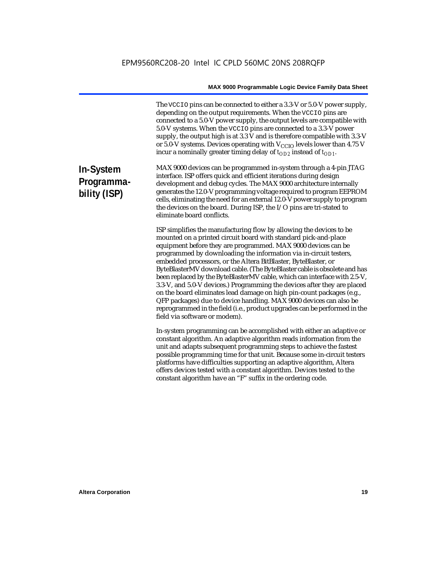The VCCIO pins can be connected to either a 3.3-V or 5.0-V power supply, depending on the output requirements. When the VCCIO pins are connected to a 5.0-V power supply, the output levels are compatible with 5.0-V systems. When the VCCIO pins are connected to a 3.3-V power supply, the output high is at 3.3 V and is therefore compatible with 3.3-V or 5.0-V systems. Devices operating with  $V_{\text{CCIO}}$  levels lower than 4.75 V incur a nominally greater timing delay of  $t_{OD2}$  instead of  $t_{OD1}$ .

# **In-System Programmability (ISP)**

MAX 9000 devices can be programmed in-system through a 4-pin JTAG interface. ISP offers quick and efficient iterations during design development and debug cycles. The MAX 9000 architecture internally generates the 12.0-V programming voltage required to program EEPROM cells, eliminating the need for an external 12.0-V power supply to program the devices on the board. During ISP, the I/O pins are tri-stated to eliminate board conflicts.

ISP simplifies the manufacturing flow by allowing the devices to be mounted on a printed circuit board with standard pick-and-place equipment before they are programmed. MAX 9000 devices can be programmed by downloading the information via in-circuit testers, embedded processors, or the Altera BitBlaster, ByteBlaster, or ByteBlasterMV download cable. (The ByteBlaster cable is obsolete and has been replaced by the ByteBlasterMV cable, which can interface with 2.5-V, 3.3-V, and 5.0-V devices.) Programming the devices after they are placed on the board eliminates lead damage on high pin-count packages (e.g., QFP packages) due to device handling. MAX 9000 devices can also be reprogrammed in the field (i.e., product upgrades can be performed in the field via software or modem).

In-system programming can be accomplished with either an adaptive or constant algorithm. An adaptive algorithm reads information from the unit and adapts subsequent programming steps to achieve the fastest possible programming time for that unit. Because some in-circuit testers platforms have difficulties supporting an adaptive algorithm, Altera offers devices tested with a constant algorithm. Devices tested to the constant algorithm have an "F" suffix in the ordering code.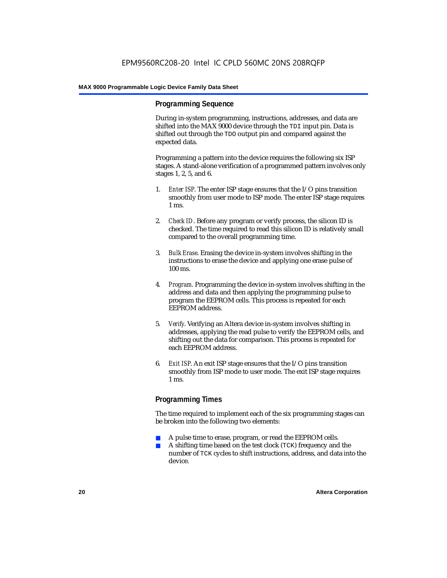#### **Programming Sequence**

During in-system programming, instructions, addresses, and data are shifted into the MAX 9000 device through the TDI input pin. Data is shifted out through the TDO output pin and compared against the expected data.

Programming a pattern into the device requires the following six ISP stages. A stand-alone verification of a programmed pattern involves only stages 1, 2, 5, and 6.

- 1. *Enter ISP*. The enter ISP stage ensures that the I/O pins transition smoothly from user mode to ISP mode. The enter ISP stage requires 1 ms.
- 2. *Check ID*. Before any program or verify process, the silicon ID is checked. The time required to read this silicon ID is relatively small compared to the overall programming time.
- 3. *Bulk Erase*. Erasing the device in-system involves shifting in the instructions to erase the device and applying one erase pulse of 100 ms.
- 4. *Program*. Programming the device in-system involves shifting in the address and data and then applying the programming pulse to program the EEPROM cells. This process is repeated for each EEPROM address.
- 5. *Verify*. Verifying an Altera device in-system involves shifting in addresses, applying the read pulse to verify the EEPROM cells, and shifting out the data for comparison. This process is repeated for each EEPROM address.
- 6. *Exit ISP*. An exit ISP stage ensures that the I/O pins transition smoothly from ISP mode to user mode. The exit ISP stage requires 1 ms.

#### **Programming Times**

The time required to implement each of the six programming stages can be broken into the following two elements:

- A pulse time to erase, program, or read the EEPROM cells.
- A shifting time based on the test clock (TCK) frequency and the number of TCK cycles to shift instructions, address, and data into the device.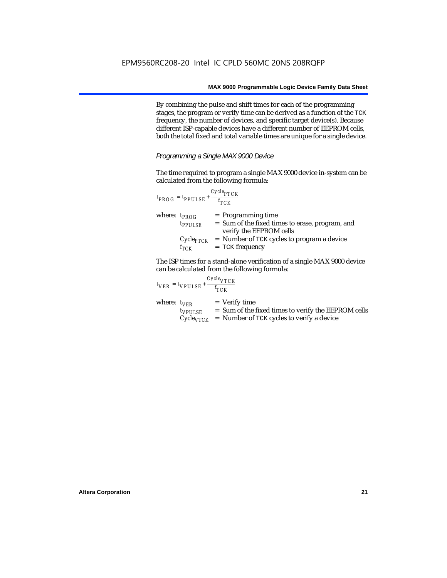By combining the pulse and shift times for each of the programming stages, the program or verify time can be derived as a function of the TCK frequency, the number of devices, and specific target device(s). Because different ISP-capable devices have a different number of EEPROM cells, both the total fixed and total variable times are unique for a single device.

*Programming a Single MAX 9000 Device*

The time required to program a single MAX 9000 device in-system can be calculated from the following formula:

|                   | $t_{PROG} = t_{PPULSE} + \frac{Cycle_{PTCK}}{f_{TCK}}$ |                                                                                                    |
|-------------------|--------------------------------------------------------|----------------------------------------------------------------------------------------------------|
| where: $t_{PROG}$ | $t_{PPULSE}$                                           | $=$ Programming time<br>= Sum of the fixed times to erase, program, and<br>verify the EEPROM cells |
|                   | $f_{TCK}$                                              | $Cycle_{PTCK}$ = Number of TCK cycles to program a device<br>$=$ TCK frequency                     |

The ISP times for a stand-alone verification of a single MAX 9000 device can be calculated from the following formula:

|                  | $t_{VER} = t_{VPULSE} + \frac{t_{TCK}}{t_{TCK}}$ | $Cycle_{VTCK}$                                                                                                                     |
|------------------|--------------------------------------------------|------------------------------------------------------------------------------------------------------------------------------------|
| where: $t_{VFR}$ | $t_{VPULSE}$                                     | $=$ Verify time<br>= Sum of the fixed times to verify the EEPROM cells<br>$Cycle_{VTCK}$ = Number of TCK cycles to verify a device |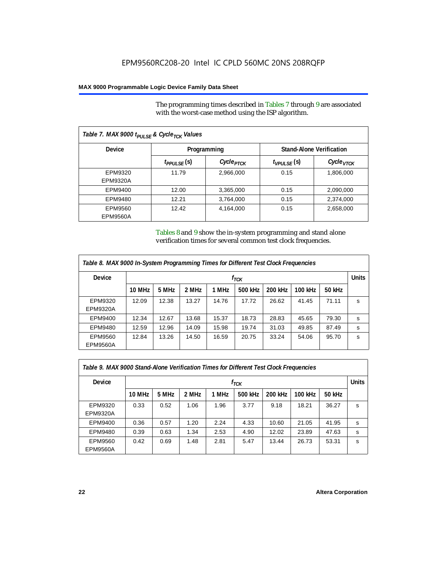The programming times described in Tables 7 through 9 are associated with the worst-case method using the ISP algorithm.

| Table 7. MAX 9000 t <sub>PULSE</sub> & Cycle <sub>TCK</sub> Values |                                                |                       |                  |                       |  |
|--------------------------------------------------------------------|------------------------------------------------|-----------------------|------------------|-----------------------|--|
| <b>Device</b>                                                      | <b>Stand-Alone Verification</b><br>Programming |                       |                  |                       |  |
|                                                                    | t <sub>PPULSE</sub> (S)                        | Cycle <sub>PTCK</sub> | $t_{VPULSE}$ (s) | Cycle <sub>VTCK</sub> |  |
| EPM9320<br>EPM9320A                                                | 11.79                                          | 2,966,000             | 0.15             | 1,806,000             |  |
| EPM9400                                                            | 12.00                                          | 3,365,000             | 0.15             | 2,090,000             |  |
| EPM9480                                                            | 12.21                                          | 3,764,000             | 0.15             | 2,374,000             |  |
| EPM9560<br>EPM9560A                                                | 12.42                                          | 4,164,000             | 0.15             | 2,658,000             |  |

Tables 8 and 9 show the in-system programming and stand alone verification times for several common test clock frequencies.

| Table 8. MAX 9000 In-System Programming Times for Different Test Clock Frequencies |        |       |       |       |           |         |         |        |              |
|------------------------------------------------------------------------------------|--------|-------|-------|-------|-----------|---------|---------|--------|--------------|
| <b>Device</b>                                                                      |        |       |       |       | $f_{TCK}$ |         |         |        | <b>Units</b> |
|                                                                                    | 10 MHz | 5 MHz | 2 MHz | 1 MHz | 500 kHz   | 200 kHz | 100 kHz | 50 kHz |              |
| EPM9320                                                                            | 12.09  | 12.38 | 13.27 | 14.76 | 17.72     | 26.62   | 41.45   | 71.11  | s            |
| EPM9320A                                                                           |        |       |       |       |           |         |         |        |              |
| EPM9400                                                                            | 12.34  | 12.67 | 13.68 | 15.37 | 18.73     | 28.83   | 45.65   | 79.30  | s            |
| EPM9480                                                                            | 12.59  | 12.96 | 14.09 | 15.98 | 19.74     | 31.03   | 49.85   | 87.49  | s            |
| EPM9560                                                                            | 12.84  | 13.26 | 14.50 | 16.59 | 20.75     | 33.24   | 54.06   | 95.70  | s            |
| <b>EPM9560A</b>                                                                    |        |       |       |       |           |         |         |        |              |

| Table 9. MAX 9000 Stand-Alone Verification Times for Different Test Clock Frequencies |           |       |       |       |         |         |         |              |   |
|---------------------------------------------------------------------------------------|-----------|-------|-------|-------|---------|---------|---------|--------------|---|
| <b>Device</b>                                                                         | $f_{TCK}$ |       |       |       |         |         |         | <b>Units</b> |   |
|                                                                                       | 10 MHz    | 5 MHz | 2 MHz | 1 MHz | 500 kHz | 200 kHz | 100 kHz | 50 kHz       |   |
| EPM9320<br><b>EPM9320A</b>                                                            | 0.33      | 0.52  | 1.06  | 1.96  | 3.77    | 9.18    | 18.21   | 36.27        | s |
| EPM9400                                                                               | 0.36      | 0.57  | 1.20  | 2.24  | 4.33    | 10.60   | 21.05   | 41.95        | s |
| EPM9480                                                                               | 0.39      | 0.63  | 1.34  | 2.53  | 4.90    | 12.02   | 23.89   | 47.63        | s |
| EPM9560<br><b>EPM9560A</b>                                                            | 0.42      | 0.69  | 1.48  | 2.81  | 5.47    | 13.44   | 26.73   | 53.31        | s |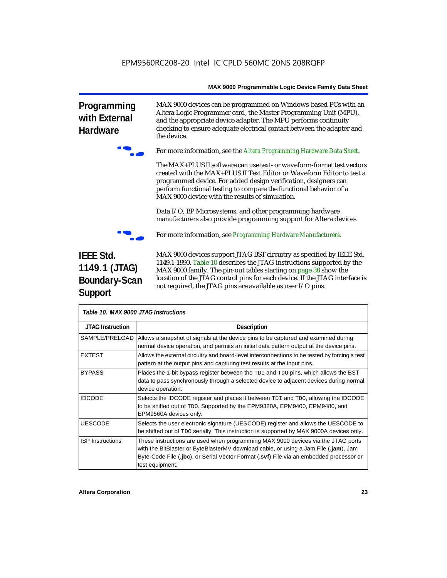**Programming with External Hardware**



the device.

f For more information, see the *Altera Programming Hardware Data Sheet*.

MAX 9000 devices can be programmed on Windows-based PCs with an Altera Logic Programmer card, the Master Programming Unit (MPU), and the appropriate device adapter. The MPU performs continuity checking to ensure adequate electrical contact between the adapter and

The MAX+PLUS II software can use text- or waveform-format test vectors created with the MAX+PLUS II Text Editor or Waveform Editor to test a programmed device. For added design verification, designers can perform functional testing to compare the functional behavior of a MAX 9000 device with the results of simulation.

Data I/O, BP Microsystems, and other programming hardware manufacturers also provide programming support for Altera devices.



f For more information, see *Programming Hardware Manufacturers*.

# **IEEE Std. 1149.1 (JTAG) Boundary-Scan Support**

MAX 9000 devices support JTAG BST circuitry as specified by IEEE Std. 1149.1-1990. Table 10 describes the JTAG instructions supported by the MAX 9000 family. The pin-out tables starting on page 38 show the location of the JTAG control pins for each device. If the JTAG interface is not required, the JTAG pins are available as user I/O pins.

| Table 10. MAX 9000 JTAG Instructions |                                                                                                                                                                                                                                                                                        |  |  |  |
|--------------------------------------|----------------------------------------------------------------------------------------------------------------------------------------------------------------------------------------------------------------------------------------------------------------------------------------|--|--|--|
| <b>JTAG Instruction</b>              | <b>Description</b>                                                                                                                                                                                                                                                                     |  |  |  |
| SAMPLE/PRELOAD I                     | Allows a snapshot of signals at the device pins to be captured and examined during<br>normal device operation, and permits an initial data pattern output at the device pins.                                                                                                          |  |  |  |
| <b>EXTEST</b>                        | Allows the external circuitry and board-level interconnections to be tested by forcing a test<br>pattern at the output pins and capturing test results at the input pins.                                                                                                              |  |  |  |
| <b>BYPASS</b>                        | Places the 1-bit bypass register between the TDI and TDO pins, which allows the BST<br>data to pass synchronously through a selected device to adjacent devices during normal<br>device operation.                                                                                     |  |  |  |
| <b>IDCODE</b>                        | Selects the IDCODE register and places it between TDI and TDO, allowing the IDCODE<br>to be shifted out of TDO. Supported by the EPM9320A, EPM9400, EPM9480, and<br>EPM9560A devices only.                                                                                             |  |  |  |
| <b>UESCODE</b>                       | Selects the user electronic signature (UESCODE) register and allows the UESCODE to<br>be shifted out of TDO serially. This instruction is supported by MAX 9000A devices only.                                                                                                         |  |  |  |
| <b>ISP Instructions</b>              | These instructions are used when programming MAX 9000 devices via the JTAG ports<br>with the BitBlaster or ByteBlasterMV download cable, or using a Jam File (.jam), Jam<br>Byte-Code File (.jbc), or Serial Vector Format (.svf) File via an embedded processor or<br>test equipment. |  |  |  |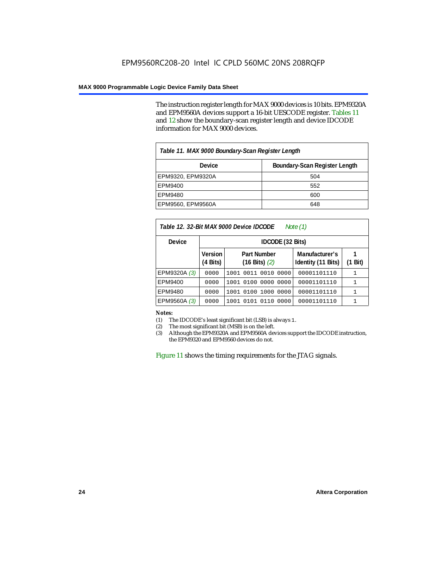The instruction register length for MAX 9000 devices is 10 bits. EPM9320A and EPM9560A devices support a 16-bit UESCODE register. Tables 11 and 12 show the boundary-scan register length and device IDCODE information for MAX 9000 devices.

| Table 11. MAX 9000 Boundary-Scan Register Length |     |  |  |  |  |  |
|--------------------------------------------------|-----|--|--|--|--|--|
| Boundary-Scan Register Length<br>Device          |     |  |  |  |  |  |
| EPM9320, EPM9320A                                | 504 |  |  |  |  |  |
| EPM9400                                          | 552 |  |  |  |  |  |
| EPM9480                                          | 600 |  |  |  |  |  |
| EPM9560, EPM9560A                                | 648 |  |  |  |  |  |

| Table 12. 32-Bit MAX 9000 Device IDCODE<br>Note (1) |                                                                                  |                        |                                      |      |  |  |  |  |
|-----------------------------------------------------|----------------------------------------------------------------------------------|------------------------|--------------------------------------|------|--|--|--|--|
| <b>Device</b>                                       |                                                                                  | IDCODE (32 Bits)       |                                      |      |  |  |  |  |
|                                                     | Version<br><b>Part Number</b><br>$(4 \text{ Bits})$<br>$(16 \text{ Bits})$ $(2)$ |                        | Manufacturer's<br>Identity (11 Bits) | Bit) |  |  |  |  |
| EPM9320A (3)                                        | 0000                                                                             | 1001 0011 0010 0000    | 00001101110                          |      |  |  |  |  |
| EPM9400                                             | 0000                                                                             | 1001 0100 0000 0000    | 00001101110                          | 1    |  |  |  |  |
| EPM9480                                             | 0000                                                                             | 1001 0100 1000 0000    | 00001101110                          | 1    |  |  |  |  |
| EPM9560A (3)                                        | 0000                                                                             | 1001 0101 0110<br>0000 | 00001101110                          | 1    |  |  |  |  |

*Notes:*<br>(1) The IDCODE's least significant bit (LSB) is always 1. (1) The IDCODE's least significant bit (LSB) is always 1.

(2) The most significant bit (MSB) is on the left.

Although the EPM9320A and EPM9560A devices support the IDCODE instruction, the EPM9320 and EPM9560 devices do not.

Figure 11 shows the timing requirements for the JTAG signals.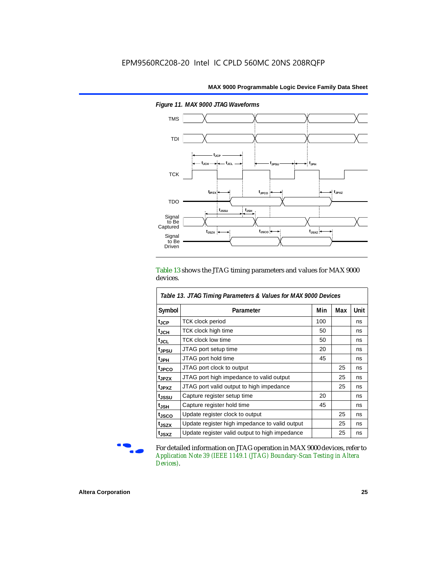

*Figure 11. MAX 9000 JTAG Waveforms*

Table 13 shows the JTAG timing parameters and values for MAX 9000 devices.

| Table 13. JTAG Timing Parameters & Values for MAX 9000 Devices |                                                |     |     |      |  |  |  |
|----------------------------------------------------------------|------------------------------------------------|-----|-----|------|--|--|--|
| Symbol                                                         | Parameter                                      | Min | Max | Unit |  |  |  |
| $t_{\rm JCP}$                                                  | <b>TCK clock period</b>                        | 100 |     | ns   |  |  |  |
| $t_{JCH}$                                                      | TCK clock high time                            | 50  |     | ns   |  |  |  |
| $t_{\rm JCL}$                                                  | <b>TCK clock low time</b>                      | 50  |     | ns   |  |  |  |
| tjpsu                                                          | JTAG port setup time                           | 20  |     | ns   |  |  |  |
| t <sub>JPH</sub>                                               | JTAG port hold time                            | 45  |     | ns   |  |  |  |
| tJPCO                                                          | JTAG port clock to output                      |     | 25  | ns   |  |  |  |
| t <sub>JPZX</sub>                                              | JTAG port high impedance to valid output       |     | 25  | ns   |  |  |  |
| t <sub>JPXZ</sub>                                              | JTAG port valid output to high impedance       |     | 25  | ns   |  |  |  |
| t <sub>JSSU</sub>                                              | Capture register setup time                    | 20  |     | ns   |  |  |  |
| It <sub>JSH</sub>                                              | Capture register hold time                     | 45  |     | ns   |  |  |  |
| t <sub>JSCO</sub>                                              | Update register clock to output                |     | 25  | ns   |  |  |  |
| t <sub>JSZX</sub>                                              | Update register high impedance to valid output |     | 25  | ns   |  |  |  |
| t <sub>JSXZ</sub>                                              | Update register valid output to high impedance |     | 25  | ns   |  |  |  |

For detailed information on JTAG operation in MAX 9000 devices, refer to *Application Note 39 (IEEE 1149.1 (JTAG) Boundary-Scan Testing in Altera Devices)*.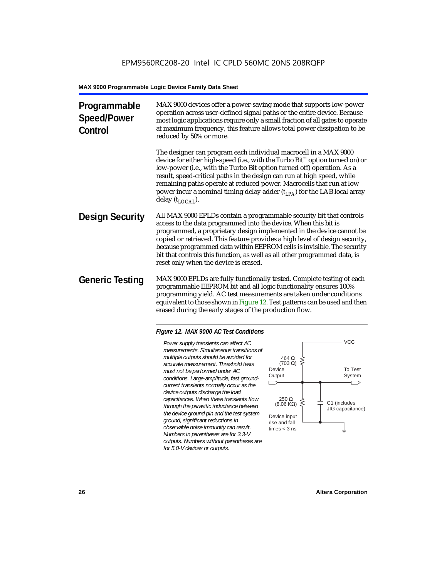| Programmable<br><b>Speed/Power</b><br>Control | MAX 9000 devices offer a power-saving mode that supports low-power<br>operation across user-defined signal paths or the entire device. Because<br>most logic applications require only a small fraction of all gates to operate<br>at maximum frequency, this feature allows total power dissipation to be<br>reduced by 50% or more.                                                                                                                                                             |
|-----------------------------------------------|---------------------------------------------------------------------------------------------------------------------------------------------------------------------------------------------------------------------------------------------------------------------------------------------------------------------------------------------------------------------------------------------------------------------------------------------------------------------------------------------------|
|                                               | The designer can program each individual macrocell in a MAX 9000<br>device for either high-speed (i.e., with the Turbo Bit <sup>™</sup> option turned on) or<br>low-power (i.e., with the Turbo Bit option turned off) operation. As a<br>result, speed-critical paths in the design can run at high speed, while<br>remaining paths operate at reduced power. Macrocells that run at low<br>power incur a nominal timing delay adder $(t_{LPA})$ for the LAB local array<br>delay $(t_{LOCAI}).$ |
| <b>Design Security</b>                        | All MAX 9000 EPLDs contain a programmable security bit that controls<br>access to the data programmed into the device. When this bit is<br>programmed, a proprietary design implemented in the device cannot be<br>copied or retrieved. This feature provides a high level of design security,<br>because programmed data within EEPROM cells is invisible. The security<br>bit that controls this function, as well as all other programmed data, is<br>reset only when the device is erased.    |
| <b>Generic Testing</b>                        | MAX 9000 EPLDs are fully functionally tested. Complete testing of each<br>programmable EEPROM bit and all logic functionality ensures 100%<br>programming yield. AC test measurements are taken under conditions<br>equivalent to those shown in Figure 12. Test patterns can be used and then<br>erased during the early stages of the production flow.                                                                                                                                          |

#### *Figure 12. MAX 9000 AC Test Conditions*

*Power supply transients can affect AC measurements. Simultaneous transitions of multiple outputs should be avoided for accurate measurement. Threshold tests must not be performed under AC conditions. Large-amplitude, fast groundcurrent transients normally occur as the device outputs discharge the load capacitances. When these transients flow through the parasitic inductance between the device ground pin and the test system ground, significant reductions in observable noise immunity can result. Numbers in parentheses are for 3.3-V outputs. Numbers without parentheses are for 5.0-V devices or outputs.*

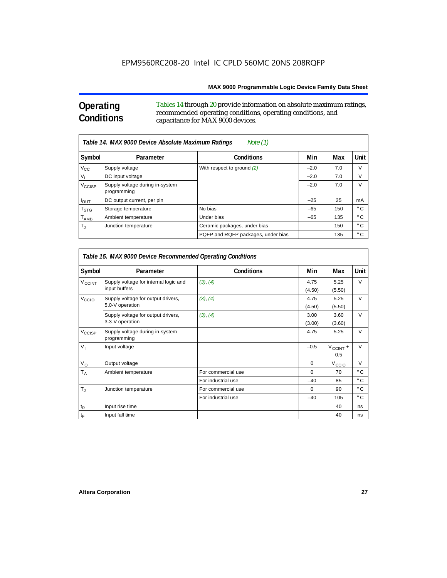# **Operating Conditions**

 $\Gamma$ 

Tables 14 through 20 provide information on absolute maximum ratings, recommended operating conditions, operating conditions, and capacitance for MAX 9000 devices.

| Table 14. MAX 9000 Device Absolute Maximum Ratings<br>Note (1) |                                                |                                    |        |     |              |  |  |  |
|----------------------------------------------------------------|------------------------------------------------|------------------------------------|--------|-----|--------------|--|--|--|
| Symbol                                                         | Parameter                                      | <b>Conditions</b>                  | Min    | Max | Unit         |  |  |  |
| $V_{\rm CC}$                                                   | Supply voltage                                 | With respect to ground (2)         | $-2.0$ | 7.0 | V            |  |  |  |
| $V_{1}$                                                        | DC input voltage                               |                                    | $-2.0$ | 7.0 | V            |  |  |  |
| V <sub>CCISP</sub>                                             | Supply voltage during in-system<br>programming |                                    | $-2.0$ | 7.0 | $\vee$       |  |  |  |
| $I_{OUT}$                                                      | DC output current, per pin                     |                                    | $-25$  | 25  | mA           |  |  |  |
| $\mathsf{T}_{\text{STG}}$                                      | Storage temperature                            | No bias                            | $-65$  | 150 | $^{\circ}$ C |  |  |  |
| $\mathsf{T}_{\mathsf{AMB}}$                                    | Ambient temperature                            | Under bias                         | $-65$  | 135 | $^{\circ}$ C |  |  |  |
| $T_{\rm J}$                                                    | Junction temperature                           | Ceramic packages, under bias       |        | 150 | $^{\circ}$ C |  |  |  |
|                                                                |                                                | PQFP and RQFP packages, under bias |        | 135 | $^{\circ}$ C |  |  |  |

|                          | Table 15. MAX 9000 Device Recommended Operating Conditions |                    |                |                      |               |  |  |  |
|--------------------------|------------------------------------------------------------|--------------------|----------------|----------------------|---------------|--|--|--|
| Symbol                   | Parameter                                                  | <b>Conditions</b>  | Min            | Max                  | Unit          |  |  |  |
| <b>V<sub>CCINT</sub></b> | Supply voltage for internal logic and<br>input buffers     | (3), (4)           | 4.75<br>(4.50) | 5.25<br>(5.50)       | $\vee$        |  |  |  |
| V <sub>CCIO</sub>        | Supply voltage for output drivers,<br>5.0-V operation      | (3), (4)           | 4.75<br>(4.50) | 5.25<br>(5.50)       | $\vee$        |  |  |  |
|                          | Supply voltage for output drivers,<br>3.3-V operation      | (3), (4)           | 3.00<br>(3.00) | 3.60<br>(3.60)       | $\vee$        |  |  |  |
| V <sub>CCISP</sub>       | Supply voltage during in-system<br>programming             |                    | 4.75           | 5.25                 | $\vee$        |  |  |  |
| $V_{1}$                  | Input voltage                                              |                    | $-0.5$         | $V_{CClNT}$ +<br>0.5 | $\vee$        |  |  |  |
| $V_{\rm O}$              | Output voltage                                             |                    | $\mathbf 0$    | V <sub>CCIO</sub>    | V             |  |  |  |
| $T_A$                    | Ambient temperature                                        | For commercial use | $\Omega$       | 70                   | $^{\circ}$ C  |  |  |  |
|                          |                                                            | For industrial use | $-40$          | 85                   | $^{\circ}$ C  |  |  |  |
| $T_{\rm J}$              | Junction temperature                                       | For commercial use | $\Omega$       | 90                   | $^{\circ}$ C  |  |  |  |
|                          |                                                            | For industrial use | $-40$          | 105                  | $^{\circ}$ C. |  |  |  |
| $t_{\mathsf{R}}$         | Input rise time                                            |                    |                | 40                   | ns            |  |  |  |
| $t_{\mathsf{F}}$         | Input fall time                                            |                    |                | 40                   | ns            |  |  |  |

٦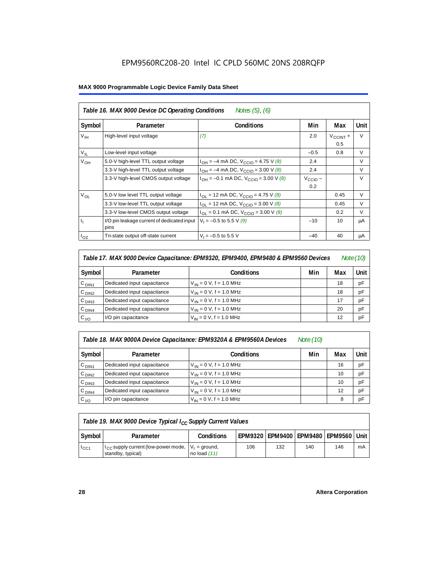## EPM9560RC208-20 Intel IC CPLD 560MC 20NS 208RQFP

#### **MAX 9000 Programmable Logic Device Family Data Sheet**

| Symbol           | Parameter                                          | <b>Conditions</b>                              | Min                        | Max                         | Unit   |
|------------------|----------------------------------------------------|------------------------------------------------|----------------------------|-----------------------------|--------|
| V <sub>IH</sub>  | High-level input voltage                           | (7)                                            | 2.0                        | $V_{\text{CCINT}} +$<br>0.5 | $\vee$ |
| $V_{IL}$         | Low-level input voltage                            |                                                | $-0.5$                     | 0.8                         | V      |
| V <sub>OH</sub>  | 5.0-V high-level TTL output voltage                | $I_{OH} = -4$ mA DC, $V_{CCIO} = 4.75$ V (8)   | 2.4                        |                             | $\vee$ |
|                  | 3.3-V high-level TTL output voltage                | $I_{OH} = -4$ mA DC, $V_{CCIO} = 3.00$ V (8)   | 2.4                        |                             | $\vee$ |
|                  | 3.3-V high-level CMOS output voltage               | $I_{OH} = -0.1$ mA DC, $V_{CClO} = 3.00$ V (8) | $V_{\text{CCIO}}$ –<br>0.2 |                             | $\vee$ |
| $V_{OL}$         | 5.0-V low level TTL output voltage                 | $I_{OL}$ = 12 mA DC, $V_{CCIO}$ = 4.75 V (8)   |                            | 0.45                        | $\vee$ |
|                  | 3.3-V low-level TTL output voltage                 | $I_{OL}$ = 12 mA DC, $V_{CClO}$ = 3.00 V (8)   |                            | 0.45                        | $\vee$ |
|                  | 3.3-V low-level CMOS output voltage                | $I_{OL}$ = 0.1 mA DC, $V_{CClO}$ = 3.00 V (8)  |                            | 0.2                         | $\vee$ |
| $\mathbf{I}_{1}$ | I/O pin leakage current of dedicated input<br>pins | $V_1 = -0.5$ to 5.5 V (9)                      | $-10$                      | 10                          | μA     |
| $I_{OZ}$         | Tri-state output off-state current                 | $V_1 = -0.5$ to 5.5 V                          | $-40$                      | 40                          | μA     |

| Table 17. MAX 9000 Device Capacitance: EPM9320, EPM9400, EPM9480 & EPM9560 Devices<br>Note (10) |                             |                              |     |     |      |  |
|-------------------------------------------------------------------------------------------------|-----------------------------|------------------------------|-----|-----|------|--|
| Symbol                                                                                          | Parameter                   | <b>Conditions</b>            | Min | Max | Unit |  |
| C <sub>DIN1</sub>                                                                               | Dedicated input capacitance | $V_{IN} = 0 V$ , f = 1.0 MHz |     | 18  | pF   |  |
| C <sub>DIN2</sub>                                                                               | Dedicated input capacitance | $V_{IN} = 0 V$ , f = 1.0 MHz |     | 18  | pF   |  |
| C <sub>DIN3</sub>                                                                               | Dedicated input capacitance | $V_{IN} = 0 V$ , f = 1.0 MHz |     | 17  | pF   |  |
| C <sub>DIN4</sub>                                                                               | Dedicated input capacitance | $V_{IN} = 0 V$ , f = 1.0 MHz |     | 20  | pF   |  |
| $C_{I/O}$                                                                                       | I/O pin capacitance         | $V_{IN} = 0 V$ , f = 1.0 MHz |     | 12  | pF   |  |

#### *Table 18. MAX 9000A Device Capacitance: EPM9320A & EPM9560A Devices Note (10)*

| Symbol            | Parameter                   | <b>Conditions</b>            | Min | Max | Unit |
|-------------------|-----------------------------|------------------------------|-----|-----|------|
| C <sub>DIN1</sub> | Dedicated input capacitance | $V_{IN} = 0 V$ , f = 1.0 MHz |     | 16  | pF   |
| C <sub>DIN2</sub> | Dedicated input capacitance | $V_{IN} = 0 V$ , f = 1.0 MHz |     | 10  | pF   |
| C <sub>DIN3</sub> | Dedicated input capacitance | $V_{IN} = 0 V$ , f = 1.0 MHz |     | 10  | pF   |
| $C_{DIN4}$        | Dedicated input capacitance | $V_{1N} = 0 V$ , f = 1.0 MHz |     | 12  | pF   |
| $C_{1/O}$         | I/O pin capacitance         | $V_{IN} = 0 V$ , f = 1.0 MHz |     | 8   | pF   |

| Table 19. MAX 9000 Device Typical $I_{CC}$ Supply Current Values |                                                                                     |                   |     |     |     |                                              |    |  |
|------------------------------------------------------------------|-------------------------------------------------------------------------------------|-------------------|-----|-----|-----|----------------------------------------------|----|--|
| Symbol                                                           | Parameter                                                                           | <b>Conditions</b> |     |     |     | EPM9320   EPM9400   EPM9480   EPM9560   Unit |    |  |
| $I_{\rm CC1}$                                                    | $H_{\rm CC}$ supply current (low-power mode, $ V_1 $ = ground,<br>standby, typical) | no load $(11)$    | 106 | 132 | 140 | 146                                          | mA |  |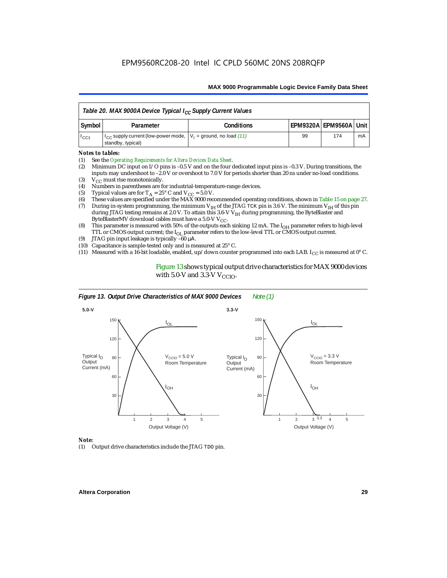| Table 20. MAX 9000A Device Typical I <sub>CC</sub> Supply Current Values |                                                                                               |                   |    |                            |    |  |  |
|--------------------------------------------------------------------------|-----------------------------------------------------------------------------------------------|-------------------|----|----------------------------|----|--|--|
| Symbol                                                                   | Parameter                                                                                     | <b>Conditions</b> |    | EPM9320A   EPM9560A   Unit |    |  |  |
| $1_{CC1}$                                                                | $ I_{CC}$ supply current (low-power mode, $ V_1 $ = ground, no load (11)<br>standby, typical) |                   | 99 | 174                        | mA |  |  |

#### *Notes to tables:*

- (1) See the *Operating Requirements for Altera Devices Data Sheet*.
- (2) Minimum DC input on I/O pins is –0.5 V and on the four dedicated input pins is –0.3 V. During transitions, the inputs may undershoot to –2.0 V or overshoot to 7.0 V for periods shorter than 20 ns under no-load conditions.
- (3)  $V_{CC}$  must rise monotonically.<br>(4) Numbers in parentheses are for
- (4) Numbers in parentheses are for industrial-temperature-range devices.<br>(5) Typical values are for  $T_A = 25^\circ$  C and  $V_{CC} = 5.0$  V.
- (5) Typical values are for  $T_A = 25^\circ$  C and  $V_{CC} = 5.0$  V.<br>(6) These values are specified under the MAX 9000 rec
- (6) These values are specified under the MAX 9000 recommended operating conditions, shown in Table 15 on page 27.<br>(7) During in-system programming, the minimum  $V_{H}$  of the JTAG TCK pin is 3.6 V. The minimum  $V_{H}$  of th
- During in-system programming, the minimum V<sub>IH</sub> of the JTAG TCK pin is 3.6 V. The minimum V<sub>IH</sub> of this pin during JTAG testing remains at 2.0 V. To attain this 3.6-V V<sub>IH</sub> during programming, the ByteBlaster and ByteBlasterMV download cables must have a 5.0-V  $V_{CC}$ .
- (8) This parameter is measured with 50% of the outputs each sinking 12 mA. The  $I<sub>OH</sub>$  parameter refers to high-level TTL or CMOS output current; the I<sub>OL</sub> parameter refers to the low-level TTL or CMOS output current.
- (9) JTAG pin input leakage is typically –60 µΑ.
- (10) Capacitance is sample-tested only and is measured at 25° C.
- (11) Measured with a 16-bit loadable, enabled, up/down counter programmed into each LAB. I<sub>CC</sub> is measured at  $0^{\circ}$  C.

Figure 13 shows typical output drive characteristics for MAX 9000 devices with 5.0-V and 3.3-V  $V_{CCIO}$ .



#### *Note:*

(1) Output drive characteristics include the JTAG TDO pin.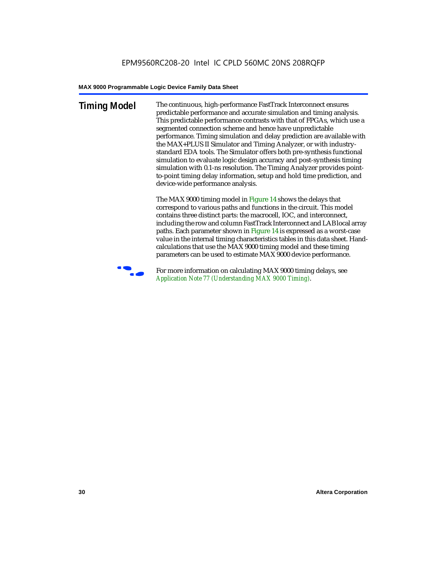**Timing Model** The continuous, high-performance FastTrack Interconnect ensures predictable performance and accurate simulation and timing analysis. This predictable performance contrasts with that of FPGAs, which use a segmented connection scheme and hence have unpredictable performance. Timing simulation and delay prediction are available with the MAX+PLUS II Simulator and Timing Analyzer, or with industrystandard EDA tools. The Simulator offers both pre-synthesis functional simulation to evaluate logic design accuracy and post-synthesis timing simulation with 0.1-ns resolution. The Timing Analyzer provides pointto-point timing delay information, setup and hold time prediction, and device-wide performance analysis.

> The MAX 9000 timing model in Figure 14 shows the delays that correspond to various paths and functions in the circuit. This model contains three distinct parts: the macrocell, IOC, and interconnect, including the row and column FastTrack Interconnect and LAB local array paths. Each parameter shown in Figure 14 is expressed as a worst-case value in the internal timing characteristics tables in this data sheet. Handcalculations that use the MAX 9000 timing model and these timing parameters can be used to estimate MAX 9000 device performance.



For more information on calculating MAX 9000 timing delays, see *Application Note 77 (Understanding MAX 9000 Timing)*.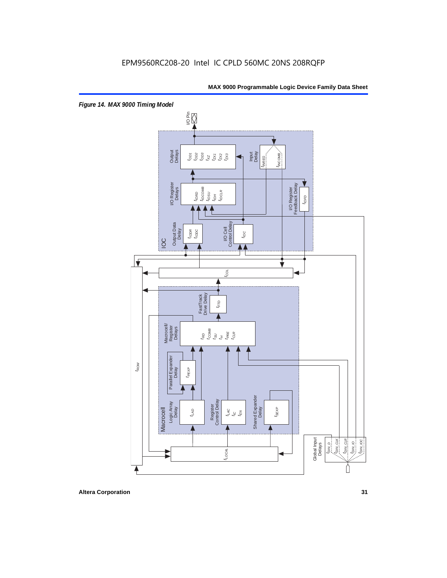

**Altera Corporation 31**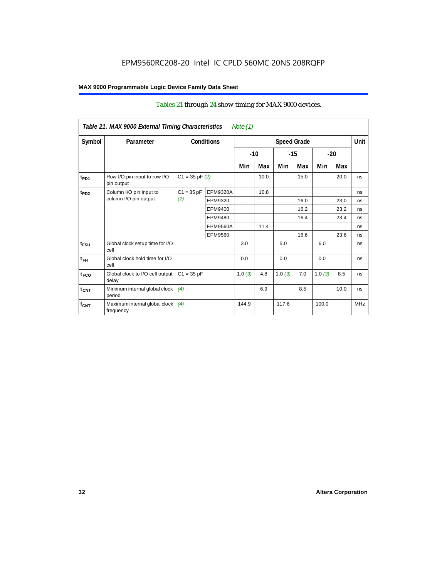### Tables 21 through 24 show timing for MAX 9000 devices.

|                  | Table 21. MAX 9000 External Timing Characteristics |              |                   | Note (1) |       |        |                    |        |      |             |
|------------------|----------------------------------------------------|--------------|-------------------|----------|-------|--------|--------------------|--------|------|-------------|
| Symbol           | Parameter                                          |              | <b>Conditions</b> |          |       |        | <b>Speed Grade</b> |        |      | <b>Unit</b> |
|                  |                                                    |              |                   |          | $-10$ | $-15$  |                    | $-20$  |      |             |
|                  |                                                    |              |                   | Min      | Max   | Min    | Max                | Min    | Max  |             |
| t <sub>PD1</sub> | Row I/O pin input to row I/O<br>pin output         |              | $C1 = 35 pF(2)$   |          | 10.0  |        | 15.0               |        | 20.0 | ns          |
| $t_{PD2}$        | Column I/O pin input to<br>column I/O pin output   | $C1 = 35 pF$ | <b>EPM9320A</b>   |          | 10.8  |        |                    |        |      | ns          |
|                  |                                                    | (2)          | EPM9320           |          |       |        | 16.0               |        | 23.0 | ns          |
|                  |                                                    |              | EPM9400           |          |       |        | 16.2               |        | 23.2 | ns          |
|                  |                                                    |              | EPM9480           |          |       |        | 16.4               |        | 23.4 | ns          |
|                  |                                                    |              | <b>EPM9560A</b>   |          | 11.4  |        |                    |        |      | ns          |
|                  |                                                    |              | EPM9560           |          |       |        | 16.6               |        | 23.6 | ns          |
| $t_{FSU}$        | Global clock setup time for I/O<br>cell            |              |                   | 3.0      |       | 5.0    |                    | 6.0    |      | ns          |
| $t_{FH}$         | Global clock hold time for I/O<br>cell             |              |                   | 0.0      |       | 0.0    |                    | 0.0    |      | ns          |
| $t_{FCO}$        | Global clock to I/O cell output<br>delay           | $C1 = 35 pF$ |                   |          | 4.8   | 1.0(3) | 7.0                | 1.0(3) | 8.5  | ns          |
| $t_{CNT}$        | Minimum internal global clock<br>period            | (4)          |                   |          | 6.9   |        | 8.5                |        | 10.0 | ns          |
| $f_{CNT}$        | Maximum internal global clock<br>frequency         | (4)          |                   | 144.9    |       | 117.6  |                    | 100.0  |      | <b>MHz</b>  |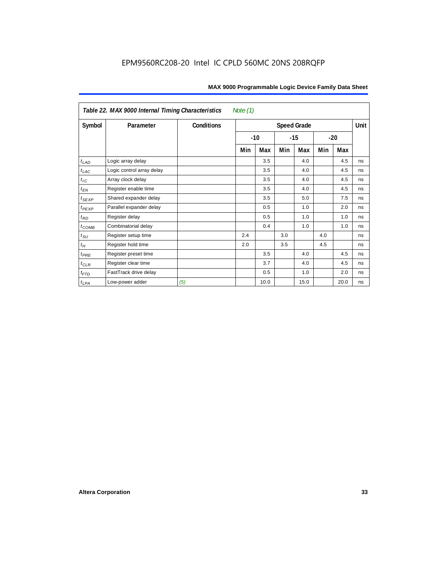| MAX 9000 Programmable Logic Device Family Data Sheet |  |  |
|------------------------------------------------------|--|--|
|------------------------------------------------------|--|--|

|                   | Table 22. MAX 9000 Internal Timing Characteristics<br>Note $(1)$ |                   |                    |       |       |      |       |      |    |
|-------------------|------------------------------------------------------------------|-------------------|--------------------|-------|-------|------|-------|------|----|
| Symbol            | Parameter                                                        | <b>Conditions</b> | <b>Speed Grade</b> |       |       |      |       | Unit |    |
|                   |                                                                  |                   |                    | $-10$ | $-15$ |      | $-20$ |      |    |
|                   |                                                                  |                   | Min                | Max   | Min   | Max  | Min   | Max  |    |
| $t_{LAD}$         | Logic array delay                                                |                   |                    | 3.5   |       | 4.0  |       | 4.5  | ns |
| $t_{LAC}$         | Logic control array delay                                        |                   |                    | 3.5   |       | 4.0  |       | 4.5  | ns |
| $t_{IC}$          | Array clock delay                                                |                   |                    | 3.5   |       | 4.0  |       | 4.5  | ns |
| $t_{EN}$          | Register enable time                                             |                   |                    | 3.5   |       | 4.0  |       | 4.5  | ns |
| $t_{SEXP}$        | Shared expander delay                                            |                   |                    | 3.5   |       | 5.0  |       | 7.5  | ns |
| $t_{PEXP}$        | Parallel expander delay                                          |                   |                    | 0.5   |       | 1.0  |       | 2.0  | ns |
| $t_{RD}$          | Register delay                                                   |                   |                    | 0.5   |       | 1.0  |       | 1.0  | ns |
| $t_{\text{COMB}}$ | Combinatorial delay                                              |                   |                    | 0.4   |       | 1.0  |       | 1.0  | ns |
| $t_{\rm SU}$      | Register setup time                                              |                   | 2.4                |       | 3.0   |      | 4.0   |      | ns |
| $t_H$             | Register hold time                                               |                   | 2.0                |       | 3.5   |      | 4.5   |      | ns |
| $t_{PRE}$         | Register preset time                                             |                   |                    | 3.5   |       | 4.0  |       | 4.5  | ns |
| $t_{CLR}$         | Register clear time                                              |                   |                    | 3.7   |       | 4.0  |       | 4.5  | ns |
| $t_{FTD}$         | FastTrack drive delay                                            |                   |                    | 0.5   |       | 1.0  |       | 2.0  | ns |
| $t_{LPA}$         | Low-power adder                                                  | (5)               |                    | 10.0  |       | 15.0 |       | 20.0 | ns |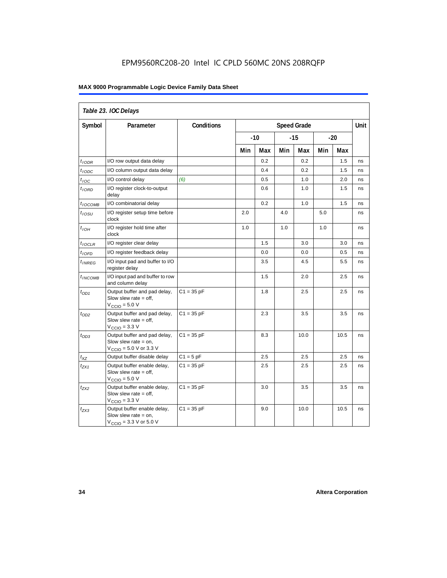## EPM9560RC208-20 Intel IC CPLD 560MC 20NS 208RQFP

#### **MAX 9000 Programmable Logic Device Family Data Sheet**

| Table 23. IOC Delays |                                                                                                               |                   |                    |       |     |       |      |       |    |
|----------------------|---------------------------------------------------------------------------------------------------------------|-------------------|--------------------|-------|-----|-------|------|-------|----|
| Symbol               | Parameter                                                                                                     | <b>Conditions</b> | <b>Speed Grade</b> |       |     |       | Unit |       |    |
|                      |                                                                                                               |                   |                    | $-10$ |     | $-15$ |      | $-20$ |    |
|                      |                                                                                                               |                   | Min                | Max   | Min | Max   | Min  | Max   |    |
| $t$ <sub>IODR</sub>  | I/O row output data delay                                                                                     |                   |                    | 0.2   |     | 0.2   |      | 1.5   | ns |
| t <sub>IODC</sub>    | I/O column output data delay                                                                                  |                   |                    | 0.4   |     | 0.2   |      | 1.5   | ns |
| $t_{\textit{IOC}}$   | I/O control delay                                                                                             | (6)               |                    | 0.5   |     | 1.0   |      | 2.0   | ns |
| $t_{IORD}$           | I/O register clock-to-output<br>delay                                                                         |                   |                    | 0.6   |     | 1.0   |      | 1.5   | ns |
| $t_{IOCOMB}$         | I/O combinatorial delay                                                                                       |                   |                    | 0.2   |     | 1.0   |      | 1.5   | ns |
| $t_{IOSU}$           | I/O register setup time before<br>clock                                                                       |                   | 2.0                |       | 4.0 |       | 5.0  |       | ns |
| $t_{IOH}$            | I/O register hold time after<br>clock                                                                         |                   | 1.0                |       | 1.0 |       | 1.0  |       | ns |
| $t_{IOCLR}$          | I/O register clear delay                                                                                      |                   |                    | 1.5   |     | 3.0   |      | 3.0   | ns |
| $t_{IOFD}$           | I/O register feedback delay                                                                                   |                   |                    | 0.0   |     | 0.0   |      | 0.5   | ns |
| $t_{INREG}$          | I/O input pad and buffer to I/O<br>register delay                                                             |                   |                    | 3.5   |     | 4.5   |      | 5.5   | ns |
| $t_{INCOMB}$         | I/O input pad and buffer to row<br>and column delay                                                           |                   |                    | 1.5   |     | 2.0   |      | 2.5   | ns |
| $t_{OD1}$            | Output buffer and pad delay,<br>Slow slew rate $=$ off,<br>$V_{\text{CCIO}} = 5.0 V$                          | $C1 = 35 pF$      |                    | 1.8   |     | 2.5   |      | 2.5   | ns |
| $t_{OD2}$            | Output buffer and pad delay,<br>Slow slew rate $=$ off,<br>$VCCIO = 3.3 V$                                    | $C1 = 35 pF$      |                    | 2.3   |     | 3.5   |      | 3.5   | ns |
| $t_{OD3}$            | Output buffer and pad delay,<br>Slow slew rate $=$ on,<br>$V_{\text{CCIO}} = 5.0 \text{ V or } 3.3 \text{ V}$ | $C1 = 35 pF$      |                    | 8.3   |     | 10.0  |      | 10.5  | ns |
| $t_{XZ}$             | Output buffer disable delay                                                                                   | $C1 = 5pF$        |                    | 2.5   |     | 2.5   |      | 2.5   | ns |
| $t_{ZX1}$            | Output buffer enable delay,<br>Slow slew rate $=$ off,<br>$V_{\text{CCIO}} = 5.0 V$                           | $C1 = 35 pF$      |                    | 2.5   |     | 2.5   |      | 2.5   | ns |
| $t_{ZX2}$            | Output buffer enable delay,<br>Slow slew rate $=$ off,<br>$V_{\text{CCIO}} = 3.3 \text{ V}$                   | $C1 = 35 pF$      |                    | 3.0   |     | 3.5   |      | 3.5   | ns |
| $t_{ZX3}$            | Output buffer enable delay,<br>Slow slew rate $=$ on,<br>$V_{\text{CGIO}} = 3.3 \text{ V or } 5.0 \text{ V}$  | $C1 = 35 pF$      |                    | 9.0   |     | 10.0  |      | 10.5  | ns |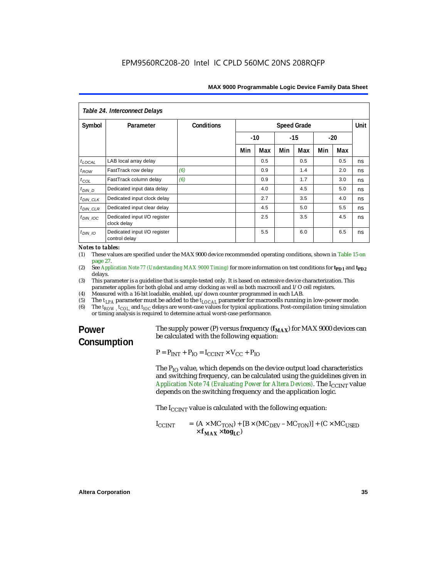| Table 24. Interconnect Delays |                                               |            |                    |       |       |     |     |       |    |
|-------------------------------|-----------------------------------------------|------------|--------------------|-------|-------|-----|-----|-------|----|
| Symbol                        | Parameter                                     | Conditions | <b>Speed Grade</b> |       |       |     |     | Unit  |    |
|                               |                                               |            |                    | $-10$ | $-15$ |     |     | $-20$ |    |
|                               |                                               |            | Min                | Max   | Min   | Max | Min | Max   |    |
| $t_{\text{LOCAL}}$            | LAB local array delay                         |            |                    | 0.5   |       | 0.5 |     | 0.5   | ns |
| $t_{ROW}$                     | FastTrack row delay                           | (6)        |                    | 0.9   |       | 1.4 |     | 2.0   | ns |
| $t_{COL}$                     | FastTrack column delay                        | (6)        |                    | 0.9   |       | 1.7 |     | 3.0   | ns |
| $t_{DIN}$ D                   | Dedicated input data delay                    |            |                    | 4.0   |       | 4.5 |     | 5.0   | ns |
| $t_{DIN\_CLK}$                | Dedicated input clock delay                   |            |                    | 2.7   |       | 3.5 |     | 4.0   | ns |
| $t_{DIN\_CLR}$                | Dedicated input clear delay                   |            |                    | 4.5   |       | 5.0 |     | 5.5   | ns |
| $t_{DIN}$ IOC                 | Dedicated input I/O register<br>clock delay   |            |                    | 2.5   |       | 3.5 |     | 4.5   | ns |
| $t_{DIN}$ 10                  | Dedicated input I/O register<br>control delay |            |                    | 5.5   |       | 6.0 |     | 6.5   | ns |

*Notes to tables:*

(1) These values are specified under the MAX 9000 device recommended operating conditions, shown in Table 15 on page 27.

- (2) See *Application Note 77 (Understanding MAX 9000 Timing)* for more information on test conditions for **t<sub>PD1</sub>** and **t**<sub>PD2</sub> delays.
- (3) This parameter is a guideline that is sample-tested only. It is based on extensive device characterization. This parameter applies for both global and array clocking as well as both macrocell and I/O cell registers.
- (4) Measured with a 16-bit loadable, enabled, up/down counter programmed in each LAB.
- (5) The  $t_{LPA}$  parameter must be added to the  $t_{LOCAL}$  parameter for macrocells running in low-power mode.<br>(6) The  $t_{POW}$   $t_{CO}$  and  $t_{IO}$  delays are worst-case values for typical applications. Post-compilation timing si
- The  $t_{ROW}$ ,  $t_{COU}$  and  $t_{IOC}$  delays are worst-case values for typical applications. Post-compilation timing simulation or timing analysis is required to determine actual worst-case performance.

# **Power Consumption**

The supply power (P) versus frequency  $(f_{MAX})$  for MAX 9000 devices can be calculated with the following equation:

 $P = P_{INT} + P_{IO} = I_{CCINT} \times V_{CC} + P_{IO}$ 

The  $P_{IO}$  value, which depends on the device output load characteristics and switching frequency, can be calculated using the guidelines given in *Application Note 74 (Evaluating Power for Altera Devices)*. The I<sub>CCINT</sub> value depends on the switching frequency and the application logic.

The  $I_{CCTNT}$  value is calculated with the following equation:

$$
I_{CCINT} = (A \times MC_{TON}) + [B \times (MC_{DEV} - MC_{TON})] + (C \times MC_{USED} \times f_{MAX} \times \text{tog}_{LC})
$$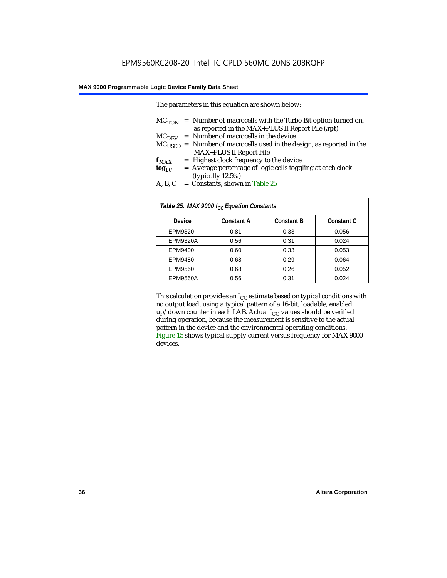The parameters in this equation are shown below:

|                 | $MC_{TON}$ = Number of macrocells with the Turbo Bit option turned on,     |
|-----------------|----------------------------------------------------------------------------|
|                 | as reported in the MAX+PLUS II Report File (.rpt)                          |
|                 | $MCDFV$ = Number of macrocells in the device                               |
|                 | $MC_{LISED}$ = Number of macrocells used in the design, as reported in the |
|                 | <b>MAX+PLUS II Report File</b>                                             |
| ${\bf f_{MAX}}$ | = Highest clock frequency to the device                                    |
| tog $_{\rm LC}$ | = Average percentage of logic cells toggling at each clock                 |
|                 | (typically 12.5%)                                                          |
| $\sqrt{2}$      | $\alpha$ 1 . m 11 or                                                       |

A, B, C = Constants, shown in Table  $25$ 

| Table 25. MAX 9000 I <sub>CC</sub> Equation Constants |                   |                   |                   |  |  |  |
|-------------------------------------------------------|-------------------|-------------------|-------------------|--|--|--|
| Device                                                | <b>Constant A</b> | <b>Constant B</b> | <b>Constant C</b> |  |  |  |
| EPM9320                                               | 0.81              | 0.33              | 0.056             |  |  |  |
| <b>EPM9320A</b>                                       | 0.56              | 0.31              | 0.024             |  |  |  |
| EPM9400                                               | 0.60              | 0.33              | 0.053             |  |  |  |
| EPM9480                                               | 0.68              | 0.29              | 0.064             |  |  |  |
| EPM9560                                               | 0.68              | 0.26              | 0.052             |  |  |  |
| <b>EPM9560A</b>                                       | 0.56              | 0.31              | 0.024             |  |  |  |

This calculation provides an  $I_{CC}$  estimate based on typical conditions with no output load, using a typical pattern of a 16-bit, loadable, enabled up/down counter in each LAB. Actual  $I_{CC}$  values should be verified during operation, because the measurement is sensitive to the actual pattern in the device and the environmental operating conditions. Figure 15 shows typical supply current versus frequency for MAX 9000 devices.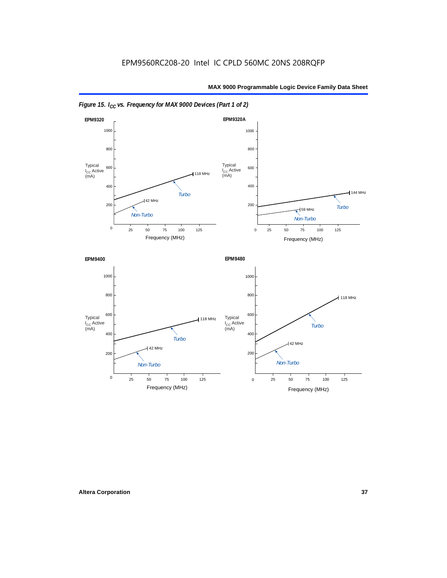



*Figure 15. I<sub>CC</sub> vs. Frequency for MAX 9000 Devices (Part 1 of 2)*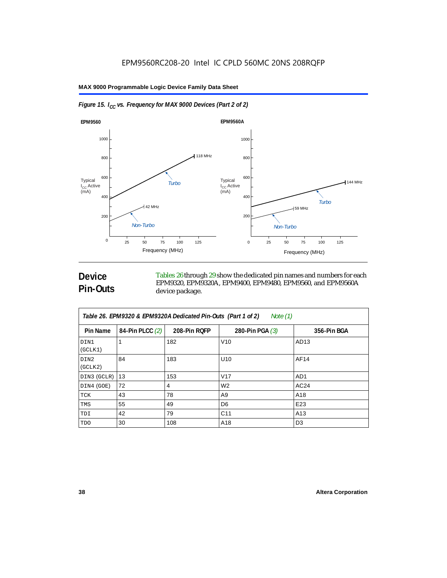



# **Device Pin-Outs**

Tables 26 through 29 show the dedicated pin names and numbers for each EPM9320, EPM9320A, EPM9400, EPM9480, EPM9560, and EPM9560A device package.

| Table 26. EPM9320 & EPM9320A Dedicated Pin-Outs (Part 1 of 2)<br>Note (1) |                 |              |                   |                 |  |  |
|---------------------------------------------------------------------------|-----------------|--------------|-------------------|-----------------|--|--|
| Pin Name                                                                  | 84-Pin PLCC (2) | 208-Pin RQFP | 280-Pin PGA $(3)$ | 356-Pin BGA     |  |  |
| DIN1<br>(GCLK1)                                                           |                 | 182          | V10               | AD13            |  |  |
| DIN2<br>(GCLK2)                                                           | 84              | 183          | U <sub>10</sub>   | AF14            |  |  |
| DIN3 (GCLR)                                                               | 13              | 153          | V <sub>17</sub>   | AD <sub>1</sub> |  |  |
| DIN4 (GOE)                                                                | 72              | 4            | W <sub>2</sub>    | AC24            |  |  |
| TCK                                                                       | 43              | 78           | A9                | A18             |  |  |
| TMS                                                                       | 55              | 49           | D <sub>6</sub>    | E23             |  |  |
| TDI                                                                       | 42              | 79           | C <sub>11</sub>   | A13             |  |  |
| TDO                                                                       | 30              | 108          | A18               | D <sub>3</sub>  |  |  |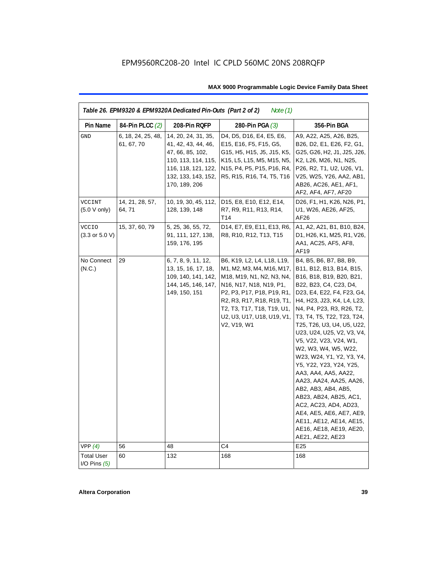| Table 26. EPM9320 & EPM9320A Dedicated Pin-Outs (Part 2 of 2)<br>Note $(1)$ |                                  |                                                                                                                                                      |                                                                                                                                                                                                                                                        |                                                                                                                                                                                                                                                                                                                                                                                                                                                                                                                                                                                                                                           |  |  |
|-----------------------------------------------------------------------------|----------------------------------|------------------------------------------------------------------------------------------------------------------------------------------------------|--------------------------------------------------------------------------------------------------------------------------------------------------------------------------------------------------------------------------------------------------------|-------------------------------------------------------------------------------------------------------------------------------------------------------------------------------------------------------------------------------------------------------------------------------------------------------------------------------------------------------------------------------------------------------------------------------------------------------------------------------------------------------------------------------------------------------------------------------------------------------------------------------------------|--|--|
| Pin Name                                                                    | 84-Pin PLCC (2)                  | 208-Pin RQFP                                                                                                                                         | 280-Pin PGA (3)                                                                                                                                                                                                                                        | 356-Pin BGA                                                                                                                                                                                                                                                                                                                                                                                                                                                                                                                                                                                                                               |  |  |
| <b>GND</b>                                                                  | 6, 18, 24, 25, 48,<br>61, 67, 70 | 14, 20, 24, 31, 35,<br>41, 42, 43, 44, 46,<br>47, 66, 85, 102,<br>110, 113, 114, 115,<br>116, 118, 121, 122,<br>132, 133, 143, 152,<br>170, 189, 206 | D4, D5, D16, E4, E5, E6,<br>E15, E16, F5, F15, G5,<br>G15, H5, H15, J5, J15, K5,<br>K15, L5, L15, M5, M15, N5,<br>N15, P4, P5, P15, P16, R4,<br>R5, R15, R16, T4, T5, T16                                                                              | A9, A22, A25, A26, B25,<br>B26, D2, E1, E26, F2, G1,<br>G25, G26, H2, J1, J25, J26,<br>K2, L26, M26, N1, N25,<br>P26, R2, T1, U2, U26, V1,<br>V25, W25, Y26, AA2, AB1,<br>AB26, AC26, AE1, AF1,<br>AF2, AF4, AF7, AF20                                                                                                                                                                                                                                                                                                                                                                                                                    |  |  |
| VCCINT<br>(5.0 V only)                                                      | 14, 21, 28, 57,<br>64, 71        | 10, 19, 30, 45, 112,<br>128, 139, 148                                                                                                                | D15, E8, E10, E12, E14,<br>R7, R9, R11, R13, R14,<br>T14                                                                                                                                                                                               | D26, F1, H1, K26, N26, P1,<br>U1, W26, AE26, AF25,<br>AF26                                                                                                                                                                                                                                                                                                                                                                                                                                                                                                                                                                                |  |  |
| <b>VCCIO</b><br>$(3.3 \text{ or } 5.0 \text{ V})$                           | 15, 37, 60, 79                   | 5, 25, 36, 55, 72,<br>91, 111, 127, 138,<br>159, 176, 195                                                                                            | D14, E7, E9, E11, E13, R6,<br>R8, R10, R12, T13, T15                                                                                                                                                                                                   | A1, A2, A21, B1, B10, B24,<br>D1, H26, K1, M25, R1, V26,<br>AA1, AC25, AF5, AF8,<br>AF19                                                                                                                                                                                                                                                                                                                                                                                                                                                                                                                                                  |  |  |
| No Connect<br>(N.C.)                                                        | 29                               | 6, 7, 8, 9, 11, 12,<br>13, 15, 16, 17, 18,<br>109, 140, 141, 142,<br>144, 145, 146, 147,<br>149, 150, 151                                            | B6, K19, L2, L4, L18, L19,<br>M1, M2, M3, M4, M16, M17,<br>M18, M19, N1, N2, N3, N4,<br>N16, N17, N18, N19, P1,<br>P2, P3, P17, P18, P19, R1,<br>R2, R3, R17, R18, R19, T1,<br>T2, T3, T17, T18, T19, U1,<br>U2, U3, U17, U18, U19, V1,<br>V2, V19, W1 | B4, B5, B6, B7, B8, B9,<br>B11, B12, B13, B14, B15,<br>B16, B18, B19, B20, B21,<br>B22, B23, C4, C23, D4,<br>D23, E4, E22, F4, F23, G4,<br>H4, H23, J23, K4, L4, L23,<br>N4, P4, P23, R3, R26, T2,<br>T3, T4, T5, T22, T23, T24,<br>T25, T26, U3, U4, U5, U22,<br>U23, U24, U25, V2, V3, V4,<br>V5, V22, V23, V24, W1,<br>W2, W3, W4, W5, W22,<br>W23, W24, Y1, Y2, Y3, Y4,<br>Y5, Y22, Y23, Y24, Y25,<br>AA3, AA4, AA5, AA22,<br>AA23, AA24, AA25, AA26,<br>AB2, AB3, AB4, AB5,<br>AB23, AB24, AB25, AC1,<br>AC2, AC23, AD4, AD23,<br>AE4, AE5, AE6, AE7, AE9,<br>AE11, AE12, AE14, AE15,<br>AE16, AE18, AE19, AE20,<br>AE21, AE22, AE23 |  |  |
| VPP(4)                                                                      | 56                               | 48                                                                                                                                                   | C4                                                                                                                                                                                                                                                     | E <sub>25</sub>                                                                                                                                                                                                                                                                                                                                                                                                                                                                                                                                                                                                                           |  |  |
| <b>Total User</b><br>I/O Pins $(5)$                                         | 60                               | 132                                                                                                                                                  | 168                                                                                                                                                                                                                                                    | 168                                                                                                                                                                                                                                                                                                                                                                                                                                                                                                                                                                                                                                       |  |  |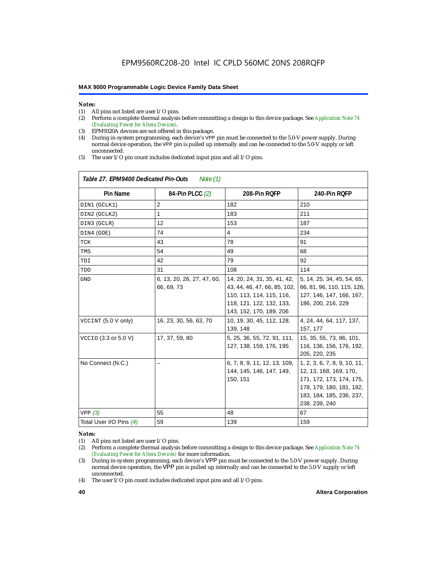# *Notes:*<br>(1) A

 $\overline{1}$ 

- (1) All pins not listed are user  $I/O$  pins.<br>(2) Perform a complete thermal analysis
- (2) Perform a complete thermal analysis before committing a design to this device package. See *Application Note 74 (Evaluating Power for Altera Devices)*.
- (3) EPM9320A devices are not offered in this package.
- (4) During in-system programming, each device's VPP pin must be connected to the 5.0-V power supply. During normal device operation, the VPP pin is pulled up internally and can be connected to the 5.0-V supply or left unconnected.
- (5) The user I/O pin count includes dedicated input pins and all I/O pins.

| Table 27. EPM9400 Dedicated Pin-Outs<br>Note $(1)$ |                                          |                                                                                                                                                |                                                                                                                                                             |  |  |  |
|----------------------------------------------------|------------------------------------------|------------------------------------------------------------------------------------------------------------------------------------------------|-------------------------------------------------------------------------------------------------------------------------------------------------------------|--|--|--|
| <b>Pin Name</b>                                    | 84-Pin PLCC (2)                          | 208-Pin RQFP                                                                                                                                   | 240-Pin RQFP                                                                                                                                                |  |  |  |
| DIN1 (GCLK1)                                       | $\overline{2}$                           | 182                                                                                                                                            | 210                                                                                                                                                         |  |  |  |
| DIN2 (GCLK2)                                       | 1                                        | 183                                                                                                                                            | 211                                                                                                                                                         |  |  |  |
| DIN3 (GCLR)                                        | 12                                       | 153                                                                                                                                            | 187                                                                                                                                                         |  |  |  |
| DIN4 (GOE)                                         | 74                                       | $\overline{4}$                                                                                                                                 | 234                                                                                                                                                         |  |  |  |
| TCK                                                | 43                                       | 78                                                                                                                                             | 91                                                                                                                                                          |  |  |  |
| TMS                                                | 54                                       | 49                                                                                                                                             | 68                                                                                                                                                          |  |  |  |
| TDI                                                | 42                                       | 79                                                                                                                                             | 92                                                                                                                                                          |  |  |  |
| TDO                                                | 31                                       | 108                                                                                                                                            | 114                                                                                                                                                         |  |  |  |
| <b>GND</b>                                         | 6, 13, 20, 26, 27, 47, 60,<br>66, 69, 73 | 14, 20, 24, 31, 35, 41, 42,<br>43, 44, 46, 47, 66, 85, 102,<br>110, 113, 114, 115, 116,<br>118, 121, 122, 132, 133,<br>143, 152, 170, 189, 206 | 5, 14, 25, 34, 45, 54, 65,<br>66, 81, 96, 110, 115, 126,<br>127, 146, 147, 166, 167,<br>186, 200, 216, 229                                                  |  |  |  |
| VCCINT (5.0 V only)                                | 16, 23, 30, 56, 63, 70                   | 10, 19, 30, 45, 112, 128,<br>139, 148                                                                                                          | 4, 24, 44, 64, 117, 137,<br>157, 177                                                                                                                        |  |  |  |
| VCCIO (3.3 or 5.0 V)                               | 17, 37, 59, 80                           | 5, 25, 36, 55, 72, 91, 111,<br>127, 138, 159, 176, 195                                                                                         | 15, 35, 55, 73, 86, 101,<br>116, 136, 156, 176, 192,<br>205, 220, 235                                                                                       |  |  |  |
| No Connect (N.C.)                                  |                                          | 6, 7, 8, 9, 11, 12, 13, 109,<br>144, 145, 146, 147, 149,<br>150, 151                                                                           | 1, 2, 3, 6, 7, 8, 9, 10, 11,<br>12, 13, 168, 169, 170,<br>171, 172, 173, 174, 175,<br>178, 179, 180, 181, 182,<br>183, 184, 185, 236, 237,<br>238, 239, 240 |  |  |  |
| VPP(3)                                             | 55                                       | 48                                                                                                                                             | 67                                                                                                                                                          |  |  |  |
| Total User I/O Pins (4)                            | 59                                       | 139                                                                                                                                            | 159                                                                                                                                                         |  |  |  |

#### *Notes:*

(1) All pins not listed are user I/O pins.

(4) The user I/O pin count includes dedicated input pins and all I/O pins.

<sup>(2)</sup> Perform a complete thermal analysis before committing a design to this device package. See *Application Note 74 (Evaluating Power for Altera Devices)* for more information.

<sup>(3)</sup> During in-system programming, each device's VPP pin must be connected to the 5.0-V power supply. During normal device operation, the VPP pin is pulled up internally and can be connected to the 5.0-V supply or left unconnected.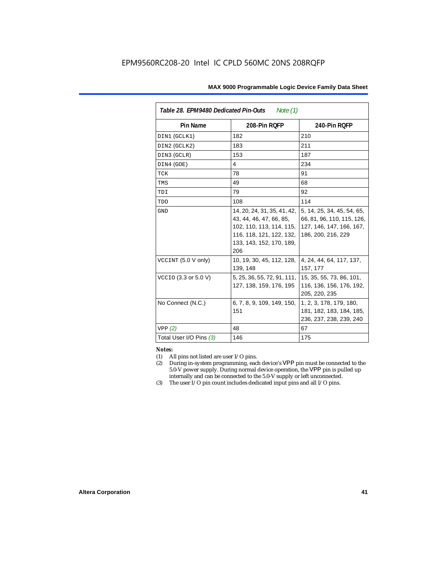| Table 28. EPM9480 Dedicated Pin-Outs<br>Note (1) |                                                                                                                                                   |                                                                                                            |  |  |  |
|--------------------------------------------------|---------------------------------------------------------------------------------------------------------------------------------------------------|------------------------------------------------------------------------------------------------------------|--|--|--|
| Pin Name                                         | 208-Pin ROFP                                                                                                                                      | 240-Pin RQFP                                                                                               |  |  |  |
| DIN1 (GCLK1)                                     | 182                                                                                                                                               | 210                                                                                                        |  |  |  |
| DIN2 (GCLK2)                                     | 183                                                                                                                                               | 211                                                                                                        |  |  |  |
| DIN3 (GCLR)                                      | 153                                                                                                                                               | 187                                                                                                        |  |  |  |
| DIN4 (GOE)                                       | 4                                                                                                                                                 | 234                                                                                                        |  |  |  |
| TCK                                              | 78                                                                                                                                                | 91                                                                                                         |  |  |  |
| TMS                                              | 49                                                                                                                                                | 68                                                                                                         |  |  |  |
| TDI                                              | 79                                                                                                                                                | 92                                                                                                         |  |  |  |
| TDO                                              | 108                                                                                                                                               | 114                                                                                                        |  |  |  |
| <b>GND</b>                                       | 14, 20, 24, 31, 35, 41, 42,<br>43, 44, 46, 47, 66, 85,<br>102, 110, 113, 114, 115,<br>116, 118, 121, 122, 132,<br>133, 143, 152, 170, 189,<br>206 | 5, 14, 25, 34, 45, 54, 65,<br>66, 81, 96, 110, 115, 126,<br>127, 146, 147, 166, 167,<br>186, 200, 216, 229 |  |  |  |
| VCCINT (5.0 V only)                              | 10, 19, 30, 45, 112, 128,<br>139, 148                                                                                                             | 4, 24, 44, 64, 117, 137,<br>157, 177                                                                       |  |  |  |
| VCCIO (3.3 or 5.0 V)                             | 5, 25, 36, 55, 72, 91, 111,<br>127, 138, 159, 176, 195                                                                                            | 15, 35, 55, 73, 86, 101,<br>116, 136, 156, 176, 192,<br>205, 220, 235                                      |  |  |  |
| No Connect (N.C.)                                | 6, 7, 8, 9, 109, 149, 150,<br>151                                                                                                                 | 1, 2, 3, 178, 179, 180,<br>181, 182, 183, 184, 185,<br>236, 237, 238, 239, 240                             |  |  |  |
| VPP(2)                                           | 48                                                                                                                                                | 67                                                                                                         |  |  |  |
| Total User I/O Pins (3)                          | 146                                                                                                                                               | 175                                                                                                        |  |  |  |

#### *Notes:*

- (1) All pins not listed are user I/O pins.
- (2) During in-system programming, each device's VPP pin must be connected to the 5.0-V power supply. During normal device operation, the VPP pin is pulled up internally and can be connected to the 5.0-V supply or left unconnected.
- (3) The user I/O pin count includes dedicated input pins and all I/O pins.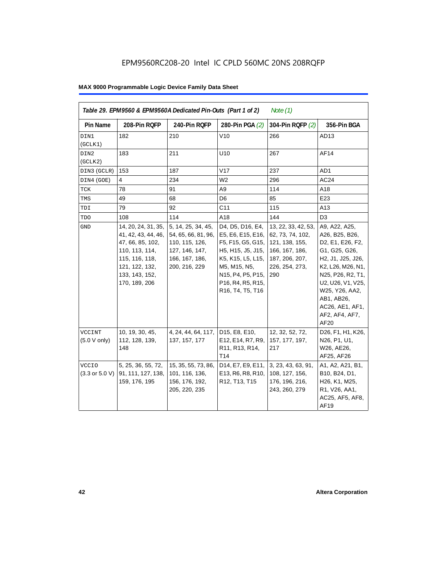| Pin Name                                          | 208-Pin RQFP                                                                                                                                            | 240-Pin RQFP                                                                                                     | 280-Pin PGA (2)                                                                                                                                                                                                                        | 304-Pin RQFP (2)                                                                                                       | 356-Pin BGA                                                                                                                                                                                                                           |
|---------------------------------------------------|---------------------------------------------------------------------------------------------------------------------------------------------------------|------------------------------------------------------------------------------------------------------------------|----------------------------------------------------------------------------------------------------------------------------------------------------------------------------------------------------------------------------------------|------------------------------------------------------------------------------------------------------------------------|---------------------------------------------------------------------------------------------------------------------------------------------------------------------------------------------------------------------------------------|
| DIN1<br>(GCLK1)                                   | 182                                                                                                                                                     | 210                                                                                                              | V10                                                                                                                                                                                                                                    | 266                                                                                                                    | AD13                                                                                                                                                                                                                                  |
| DIN2<br>(GCLK2)                                   | 183                                                                                                                                                     | 211                                                                                                              | U10                                                                                                                                                                                                                                    | 267                                                                                                                    | AF14                                                                                                                                                                                                                                  |
| DIN3 (GCLR)                                       | 153                                                                                                                                                     | 187                                                                                                              | V17                                                                                                                                                                                                                                    | 237                                                                                                                    | AD1                                                                                                                                                                                                                                   |
| DIN4 (GOE)                                        | 4                                                                                                                                                       | 234                                                                                                              | W <sub>2</sub>                                                                                                                                                                                                                         | 296                                                                                                                    | AC24                                                                                                                                                                                                                                  |
| TCK                                               | 78                                                                                                                                                      | 91                                                                                                               | A9                                                                                                                                                                                                                                     | 114                                                                                                                    | A18                                                                                                                                                                                                                                   |
| TMS                                               | 49                                                                                                                                                      | 68                                                                                                               | D <sub>6</sub>                                                                                                                                                                                                                         | 85                                                                                                                     | E23                                                                                                                                                                                                                                   |
| TDI                                               | 79                                                                                                                                                      | 92                                                                                                               | C <sub>11</sub>                                                                                                                                                                                                                        | 115                                                                                                                    | A13                                                                                                                                                                                                                                   |
| <b>TDO</b>                                        | 108                                                                                                                                                     | 114                                                                                                              | A18                                                                                                                                                                                                                                    | 144                                                                                                                    | D <sub>3</sub>                                                                                                                                                                                                                        |
| $\operatorname{GND}$                              | 14, 20, 24, 31, 35,<br>41, 42, 43, 44, 46,<br>47, 66, 85, 102,<br>110, 113, 114,<br>115, 116, 118,<br>121, 122, 132,<br>133, 143, 152,<br>170, 189, 206 | 5, 14, 25, 34, 45,<br>54, 65, 66, 81, 96,<br>110, 115, 126,<br>127, 146, 147,<br>166, 167, 186,<br>200, 216, 229 | D4, D5, D16, E4,<br>E5, E6, E15, E16,<br>F5, F15, G5, G15,<br>H5, H15, J5, J15,<br>K5, K15, L5, L15,<br>M5, M15, N5,<br>N15, P4, P5, P15,<br>P <sub>16</sub> , R <sub>4</sub> , R <sub>5</sub> , R <sub>15</sub> ,<br>R16, T4, T5, T16 | 13, 22, 33, 42, 53,<br>62, 73, 74, 102,<br>121, 138, 155,<br>166, 167, 186,<br>187, 206, 207,<br>226, 254, 273,<br>290 | A9, A22, A25,<br>A26, B25, B26,<br>D2, E1, E26, F2,<br>G1, G25, G26,<br>H2, J1, J25, J26,<br>K2, L26, M26, N1,<br>N25, P26, R2, T1,<br>U2, U26, V1, V25,<br>W25, Y26, AA2,<br>AB1, AB26,<br>AC26, AE1, AF1,<br>AF2, AF4, AF7,<br>AF20 |
| VCCINT<br>(5.0 V only)                            | 10, 19, 30, 45,<br>112, 128, 139,<br>148                                                                                                                | 4, 24, 44, 64, 117, D15, E8, E10,<br>137, 157, 177                                                               | E12, E14, R7, R9,<br>R11, R13, R14,<br>T14                                                                                                                                                                                             | 12, 32, 52, 72,<br>157, 177, 197,<br>217                                                                               | D26, F1, H1, K26,<br>N26, P1, U1,<br>W26, AE26,<br>AF25, AF26                                                                                                                                                                         |
| <b>VCCIO</b><br>$(3.3 \text{ or } 5.0 \text{ V})$ | 5, 25, 36, 55, 72,<br>91, 111, 127, 138,<br>159, 176, 195                                                                                               | 15, 35, 55, 73, 86,<br>101, 116, 136,<br>156, 176, 192,<br>205, 220, 235                                         | D14, E7, E9, E11,<br>E13, R6, R8, R10,<br>R12, T13, T15                                                                                                                                                                                | 3, 23, 43, 63, 91,<br>108, 127, 156,<br>176, 196, 216,<br>243, 260, 279                                                | A1, A2, A21, B1,<br>B10, B24, D1,<br>H26, K1, M25,<br>R1, V26, AA1,<br>AC25, AF5, AF8,<br>AF19                                                                                                                                        |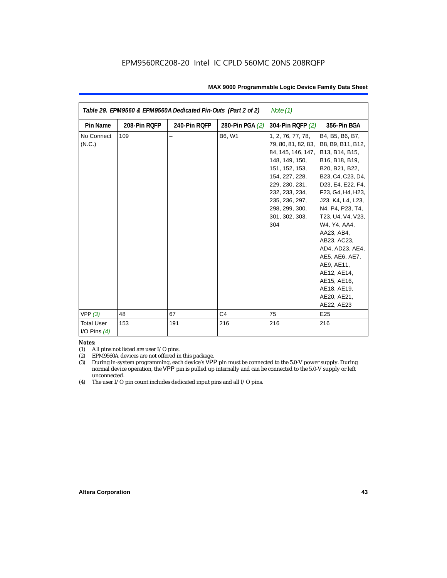| Note $(1)$<br>Table 29. EPM9560 & EPM9560A Dedicated Pin-Outs (Part 2 of 2) |              |              |                 |                                                                                                                                                                                                                       |                                                                                                                                                                                                                                                                                                                                                                                                   |  |
|-----------------------------------------------------------------------------|--------------|--------------|-----------------|-----------------------------------------------------------------------------------------------------------------------------------------------------------------------------------------------------------------------|---------------------------------------------------------------------------------------------------------------------------------------------------------------------------------------------------------------------------------------------------------------------------------------------------------------------------------------------------------------------------------------------------|--|
| <b>Pin Name</b>                                                             | 208-Pin RQFP | 240-Pin RQFP | 280-Pin PGA (2) | 304-Pin RQFP (2)                                                                                                                                                                                                      | 356-Pin BGA                                                                                                                                                                                                                                                                                                                                                                                       |  |
| No Connect<br>(N.C.)                                                        | 109          |              | B6, W1          | 1, 2, 76, 77, 78,<br>79, 80, 81, 82, 83,<br>84, 145, 146, 147,<br>148, 149, 150,<br>151, 152, 153,<br>154, 227, 228,<br>229, 230, 231,<br>232, 233, 234,<br>235, 236, 297,<br>298, 299, 300,<br>301, 302, 303,<br>304 | B4, B5, B6, B7,<br>B8, B9, B11, B12,<br>B13, B14, B15,<br>B16, B18, B19,<br>B20, B21, B22,<br>B23, C4, C23, D4,<br>D23, E4, E22, F4,<br>F23, G4, H4, H23,<br>J23, K4, L4, L23,<br>N4, P4, P23, T4,<br>T23, U4, V4, V23,<br>W4, Y4, AA4,<br>AA23, AB4,<br>AB23, AC23,<br>AD4, AD23, AE4,<br>AE5, AE6, AE7,<br>AE9, AE11,<br>AE12, AE14,<br>AE15, AE16,<br>AE18, AE19,<br>AE20, AE21,<br>AE22, AE23 |  |
| VPP(3)                                                                      | 48           | 67           | C <sub>4</sub>  | 75                                                                                                                                                                                                                    | E <sub>25</sub>                                                                                                                                                                                                                                                                                                                                                                                   |  |
| <b>Total User</b><br>I/O Pins $(4)$                                         | 153          | 191          | 216             | 216                                                                                                                                                                                                                   | 216                                                                                                                                                                                                                                                                                                                                                                                               |  |

#### *Notes:*

(1) All pins not listed are user I/O pins.

(2) EPM9560A devices are not offered in this package.

(3) During in-system programming, each device's VPP pin must be connected to the 5.0-V power supply. During normal device operation, the VPP pin is pulled up internally and can be connected to the 5.0-V supply or left unconnected.

(4) The user I/O pin count includes dedicated input pins and all I/O pins.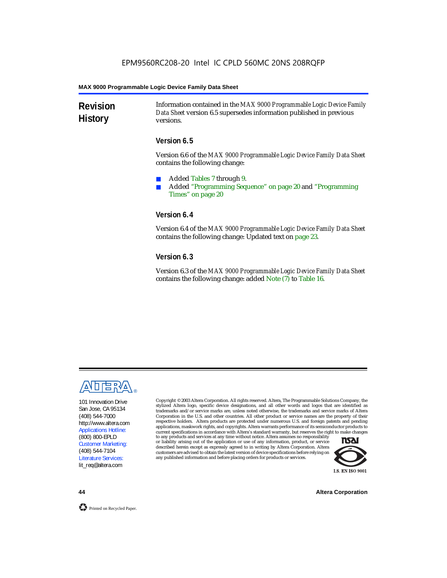**Revision History** Information contained in the *MAX 9000 Programmable Logic Device Family Data Sheet* version 6.5 supersedes information published in previous versions.

#### **Version 6.5**

Version 6.6 of the *MAX 9000 Programmable Logic Device Family Data Sheet* contains the following change:

- Added Tables 7 through 9.
- Added "Programming Sequence" on page 20 and "Programming Times" on page 20

#### **Version 6.4**

Version 6.4 of the *MAX 9000 Programmable Logic Device Family Data Sheet* contains the following change: Updated text on page 23.

#### **Version 6.3**

Version 6.3 of the *MAX 9000 Programmable Logic Device Family Data Sheet* contains the following change: added Note (7) to Table 16.



101 Innovation Drive San Jose, CA 95134 (408) 544-7000 http://www.altera.com Applications Hotline: (800) 800-EPLD Customer Marketing: (408) 544-7104 Literature Services: lit\_req@altera.com

Copyright © 2003 Altera Corporation. All rights reserved. Altera, The Programmable Solutions Company, the stylized Altera logo, specific device designations, and all other words and logos that are identified as trademarks and/or service marks are, unless noted otherwise, the trademarks and service marks of Altera Corporation in the U.S. and other countries. All other product or service names are the property of their respective holders. Altera products are protected under numerous U.S. and foreign patents and pending applications, maskwork rights, and copyrights. Altera warrants performance of its semiconductor products to current specifications in accordance with Altera's standard warranty, but reserves the right to make changes

to any products and services at any time without notice. Altera assumes no responsibility or liability arising out of the application or use of any information, product, or service described herein except as expressly agreed to in writing by Altera Corporation. Altera customers are advised to obtain the latest version of device specifications before relying on any published information and before placing orders for products or services.



**44 Altera Corporation**